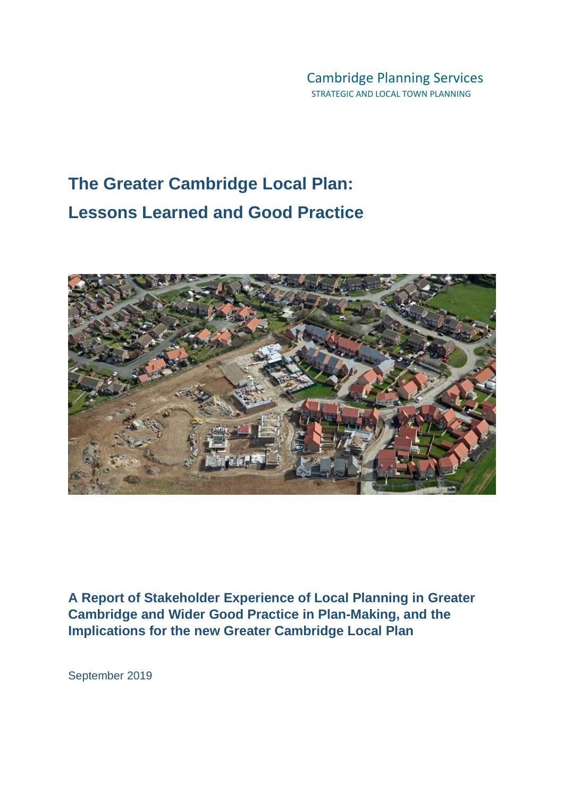# **The Greater Cambridge Local Plan: Lessons Learned and Good Practice**



**A Report of Stakeholder Experience of Local Planning in Greater Cambridge and Wider Good Practice in Plan-Making, and the Implications for the new Greater Cambridge Local Plan** 

September 2019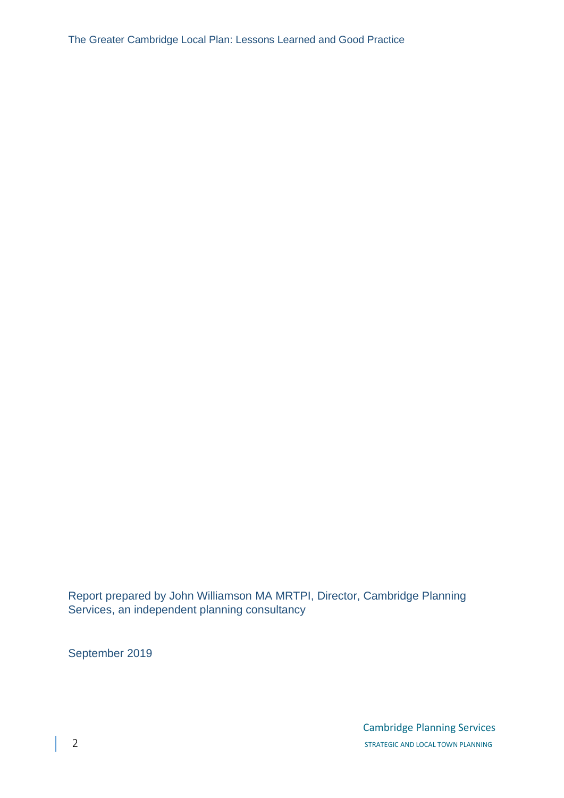The Greater Cambridge Local Plan: Lessons Learned and Good Practice

Report prepared by John Williamson MA MRTPI, Director, Cambridge Planning Services, an independent planning consultancy

September 2019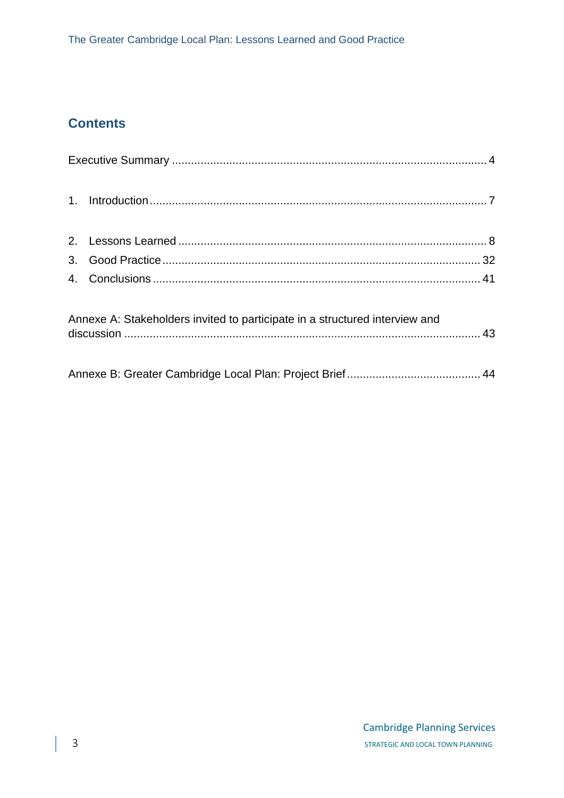# **Contents**

|  | Annexe A: Stakeholders invited to participate in a structured interview and |  |
|--|-----------------------------------------------------------------------------|--|
|  |                                                                             |  |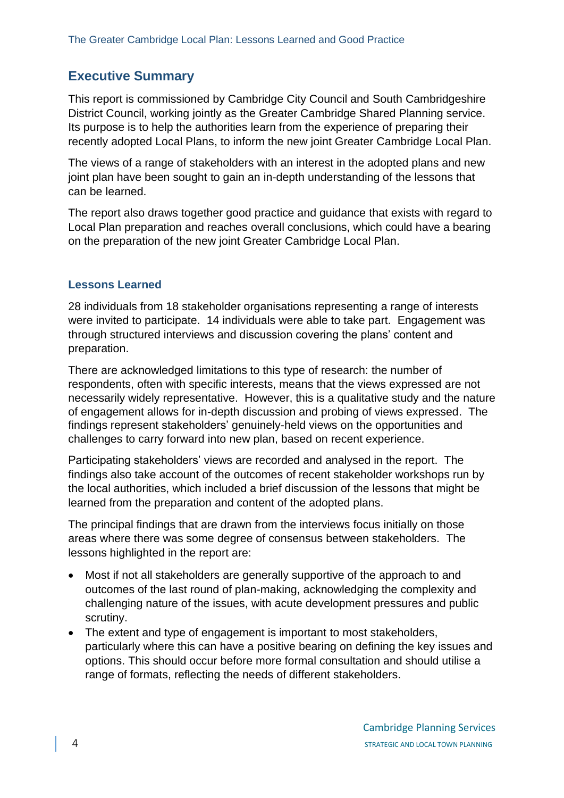# <span id="page-3-0"></span>**Executive Summary**

This report is commissioned by Cambridge City Council and South Cambridgeshire District Council, working jointly as the Greater Cambridge Shared Planning service. Its purpose is to help the authorities learn from the experience of preparing their recently adopted Local Plans, to inform the new joint Greater Cambridge Local Plan.

The views of a range of stakeholders with an interest in the adopted plans and new joint plan have been sought to gain an in-depth understanding of the lessons that can be learned.

The report also draws together good practice and guidance that exists with regard to Local Plan preparation and reaches overall conclusions, which could have a bearing on the preparation of the new joint Greater Cambridge Local Plan.

#### **Lessons Learned**

28 individuals from 18 stakeholder organisations representing a range of interests were invited to participate. 14 individuals were able to take part. Engagement was through structured interviews and discussion covering the plans' content and preparation.

There are acknowledged limitations to this type of research: the number of respondents, often with specific interests, means that the views expressed are not necessarily widely representative. However, this is a qualitative study and the nature of engagement allows for in-depth discussion and probing of views expressed. The findings represent stakeholders' genuinely-held views on the opportunities and challenges to carry forward into new plan, based on recent experience.

Participating stakeholders' views are recorded and analysed in the report. The findings also take account of the outcomes of recent stakeholder workshops run by the local authorities, which included a brief discussion of the lessons that might be learned from the preparation and content of the adopted plans.

The principal findings that are drawn from the interviews focus initially on those areas where there was some degree of consensus between stakeholders. The lessons highlighted in the report are:

- Most if not all stakeholders are generally supportive of the approach to and outcomes of the last round of plan-making, acknowledging the complexity and challenging nature of the issues, with acute development pressures and public scrutiny.
- The extent and type of engagement is important to most stakeholders, particularly where this can have a positive bearing on defining the key issues and options. This should occur before more formal consultation and should utilise a range of formats, reflecting the needs of different stakeholders.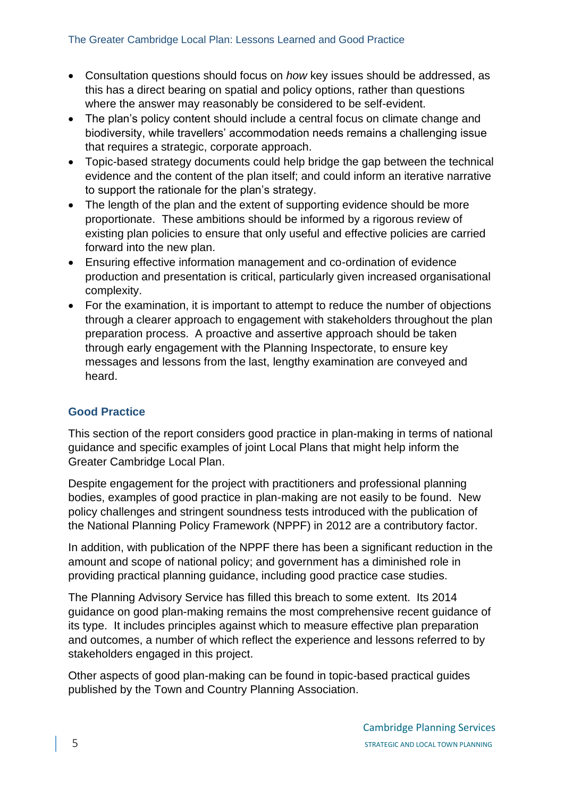- Consultation questions should focus on *how* key issues should be addressed, as this has a direct bearing on spatial and policy options, rather than questions where the answer may reasonably be considered to be self-evident.
- The plan's policy content should include a central focus on climate change and biodiversity, while travellers' accommodation needs remains a challenging issue that requires a strategic, corporate approach.
- Topic-based strategy documents could help bridge the gap between the technical evidence and the content of the plan itself; and could inform an iterative narrative to support the rationale for the plan's strategy.
- The length of the plan and the extent of supporting evidence should be more proportionate. These ambitions should be informed by a rigorous review of existing plan policies to ensure that only useful and effective policies are carried forward into the new plan.
- Ensuring effective information management and co-ordination of evidence production and presentation is critical, particularly given increased organisational complexity.
- For the examination, it is important to attempt to reduce the number of objections through a clearer approach to engagement with stakeholders throughout the plan preparation process. A proactive and assertive approach should be taken through early engagement with the Planning Inspectorate, to ensure key messages and lessons from the last, lengthy examination are conveyed and heard.

# **Good Practice**

This section of the report considers good practice in plan-making in terms of national guidance and specific examples of joint Local Plans that might help inform the Greater Cambridge Local Plan.

Despite engagement for the project with practitioners and professional planning bodies, examples of good practice in plan-making are not easily to be found. New policy challenges and stringent soundness tests introduced with the publication of the National Planning Policy Framework (NPPF) in 2012 are a contributory factor.

In addition, with publication of the NPPF there has been a significant reduction in the amount and scope of national policy; and government has a diminished role in providing practical planning guidance, including good practice case studies.

The Planning Advisory Service has filled this breach to some extent. Its 2014 guidance on good plan-making remains the most comprehensive recent guidance of its type. It includes principles against which to measure effective plan preparation and outcomes, a number of which reflect the experience and lessons referred to by stakeholders engaged in this project.

Other aspects of good plan-making can be found in topic-based practical guides published by the Town and Country Planning Association.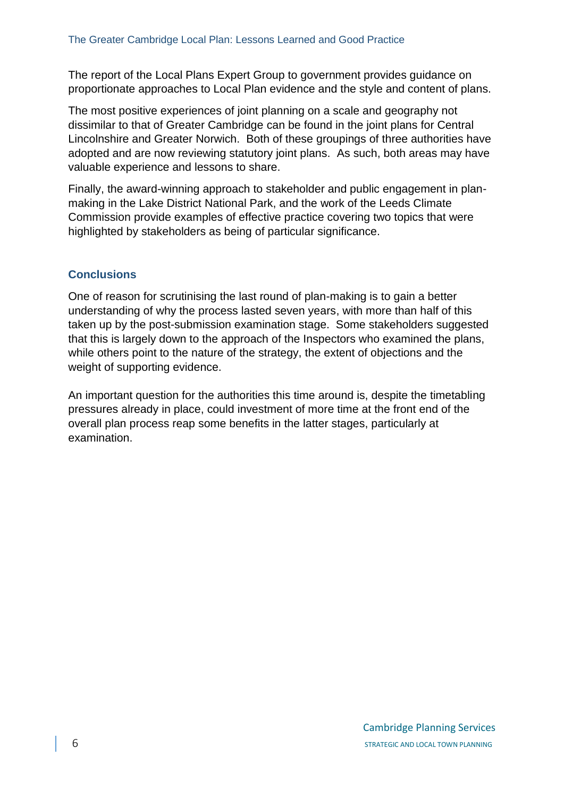The report of the Local Plans Expert Group to government provides guidance on proportionate approaches to Local Plan evidence and the style and content of plans.

The most positive experiences of joint planning on a scale and geography not dissimilar to that of Greater Cambridge can be found in the joint plans for Central Lincolnshire and Greater Norwich. Both of these groupings of three authorities have adopted and are now reviewing statutory joint plans. As such, both areas may have valuable experience and lessons to share.

Finally, the award-winning approach to stakeholder and public engagement in planmaking in the Lake District National Park, and the work of the Leeds Climate Commission provide examples of effective practice covering two topics that were highlighted by stakeholders as being of particular significance.

# **Conclusions**

One of reason for scrutinising the last round of plan-making is to gain a better understanding of why the process lasted seven years, with more than half of this taken up by the post-submission examination stage. Some stakeholders suggested that this is largely down to the approach of the Inspectors who examined the plans, while others point to the nature of the strategy, the extent of objections and the weight of supporting evidence.

An important question for the authorities this time around is, despite the timetabling pressures already in place, could investment of more time at the front end of the overall plan process reap some benefits in the latter stages, particularly at examination.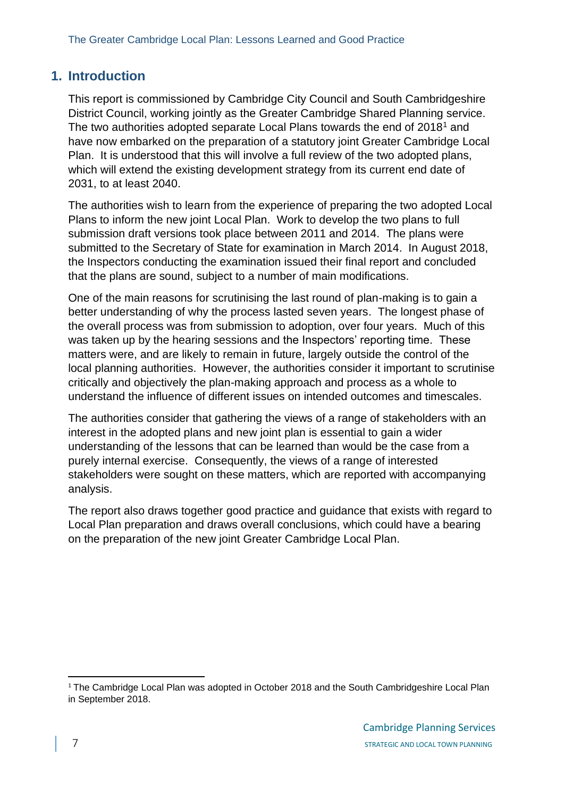# <span id="page-6-0"></span>**1. Introduction**

This report is commissioned by Cambridge City Council and South Cambridgeshire District Council, working jointly as the Greater Cambridge Shared Planning service. The two authorities adopted separate Local Plans towards the end of 2018<sup>1</sup> and have now embarked on the preparation of a statutory joint Greater Cambridge Local Plan. It is understood that this will involve a full review of the two adopted plans, which will extend the existing development strategy from its current end date of 2031, to at least 2040.

The authorities wish to learn from the experience of preparing the two adopted Local Plans to inform the new joint Local Plan. Work to develop the two plans to full submission draft versions took place between 2011 and 2014. The plans were submitted to the Secretary of State for examination in March 2014. In August 2018, the Inspectors conducting the examination issued their final report and concluded that the plans are sound, subject to a number of main modifications.

One of the main reasons for scrutinising the last round of plan-making is to gain a better understanding of why the process lasted seven years. The longest phase of the overall process was from submission to adoption, over four years. Much of this was taken up by the hearing sessions and the Inspectors' reporting time. These matters were, and are likely to remain in future, largely outside the control of the local planning authorities. However, the authorities consider it important to scrutinise critically and objectively the plan-making approach and process as a whole to understand the influence of different issues on intended outcomes and timescales.

The authorities consider that gathering the views of a range of stakeholders with an interest in the adopted plans and new joint plan is essential to gain a wider understanding of the lessons that can be learned than would be the case from a purely internal exercise. Consequently, the views of a range of interested stakeholders were sought on these matters, which are reported with accompanying analysis.

The report also draws together good practice and guidance that exists with regard to Local Plan preparation and draws overall conclusions, which could have a bearing on the preparation of the new joint Greater Cambridge Local Plan.

 $1$ <sup>1</sup> The Cambridge Local Plan was adopted in October 2018 and the South Cambridgeshire Local Plan in September 2018.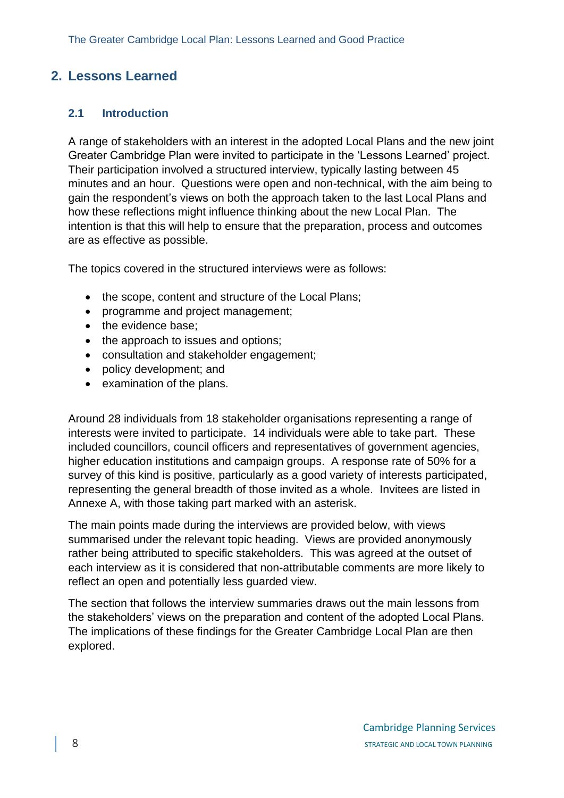# <span id="page-7-0"></span>**2. Lessons Learned**

#### **2.1 Introduction**

A range of stakeholders with an interest in the adopted Local Plans and the new joint Greater Cambridge Plan were invited to participate in the 'Lessons Learned' project. Their participation involved a structured interview, typically lasting between 45 minutes and an hour. Questions were open and non-technical, with the aim being to gain the respondent's views on both the approach taken to the last Local Plans and how these reflections might influence thinking about the new Local Plan. The intention is that this will help to ensure that the preparation, process and outcomes are as effective as possible.

The topics covered in the structured interviews were as follows:

- the scope, content and structure of the Local Plans;
- programme and project management;
- the evidence base;
- the approach to issues and options:
- consultation and stakeholder engagement;
- policy development; and
- examination of the plans.

Around 28 individuals from 18 stakeholder organisations representing a range of interests were invited to participate. 14 individuals were able to take part. These included councillors, council officers and representatives of government agencies, higher education institutions and campaign groups. A response rate of 50% for a survey of this kind is positive, particularly as a good variety of interests participated, representing the general breadth of those invited as a whole. Invitees are listed in Annexe A, with those taking part marked with an asterisk.

The main points made during the interviews are provided below, with views summarised under the relevant topic heading. Views are provided anonymously rather being attributed to specific stakeholders. This was agreed at the outset of each interview as it is considered that non-attributable comments are more likely to reflect an open and potentially less guarded view.

The section that follows the interview summaries draws out the main lessons from the stakeholders' views on the preparation and content of the adopted Local Plans. The implications of these findings for the Greater Cambridge Local Plan are then explored.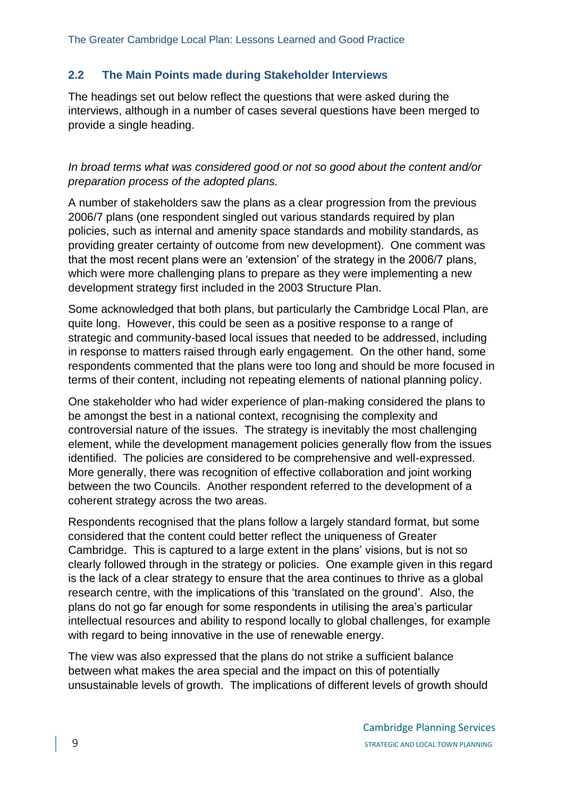## **2.2 The Main Points made during Stakeholder Interviews**

The headings set out below reflect the questions that were asked during the interviews, although in a number of cases several questions have been merged to provide a single heading.

## *In broad terms what was considered good or not so good about the content and/or preparation process of the adopted plans.*

A number of stakeholders saw the plans as a clear progression from the previous 2006/7 plans (one respondent singled out various standards required by plan policies, such as internal and amenity space standards and mobility standards, as providing greater certainty of outcome from new development). One comment was that the most recent plans were an 'extension' of the strategy in the 2006/7 plans, which were more challenging plans to prepare as they were implementing a new development strategy first included in the 2003 Structure Plan.

Some acknowledged that both plans, but particularly the Cambridge Local Plan, are quite long. However, this could be seen as a positive response to a range of strategic and community-based local issues that needed to be addressed, including in response to matters raised through early engagement. On the other hand, some respondents commented that the plans were too long and should be more focused in terms of their content, including not repeating elements of national planning policy.

One stakeholder who had wider experience of plan-making considered the plans to be amongst the best in a national context, recognising the complexity and controversial nature of the issues. The strategy is inevitably the most challenging element, while the development management policies generally flow from the issues identified. The policies are considered to be comprehensive and well-expressed. More generally, there was recognition of effective collaboration and joint working between the two Councils. Another respondent referred to the development of a coherent strategy across the two areas.

Respondents recognised that the plans follow a largely standard format, but some considered that the content could better reflect the uniqueness of Greater Cambridge. This is captured to a large extent in the plans' visions, but is not so clearly followed through in the strategy or policies. One example given in this regard is the lack of a clear strategy to ensure that the area continues to thrive as a global research centre, with the implications of this 'translated on the ground'. Also, the plans do not go far enough for some respondents in utilising the area's particular intellectual resources and ability to respond locally to global challenges, for example with regard to being innovative in the use of renewable energy.

The view was also expressed that the plans do not strike a sufficient balance between what makes the area special and the impact on this of potentially unsustainable levels of growth. The implications of different levels of growth should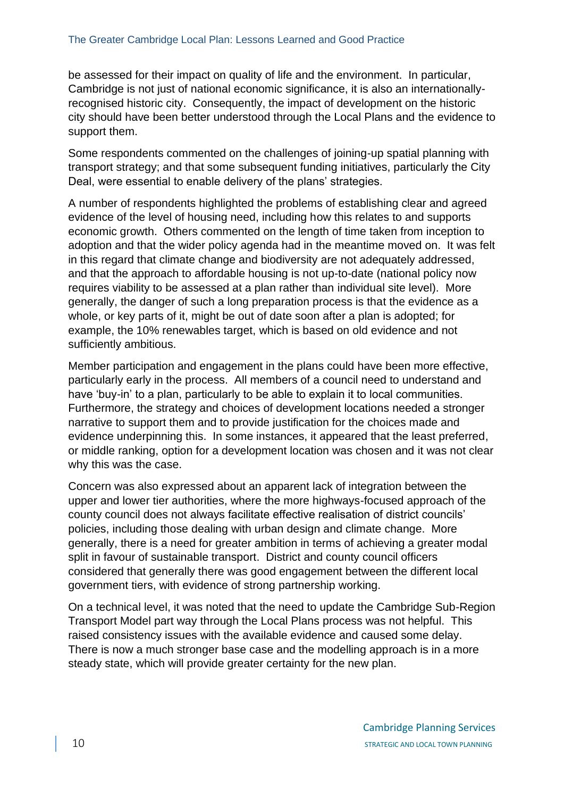be assessed for their impact on quality of life and the environment. In particular, Cambridge is not just of national economic significance, it is also an internationallyrecognised historic city. Consequently, the impact of development on the historic city should have been better understood through the Local Plans and the evidence to support them.

Some respondents commented on the challenges of joining-up spatial planning with transport strategy; and that some subsequent funding initiatives, particularly the City Deal, were essential to enable delivery of the plans' strategies.

A number of respondents highlighted the problems of establishing clear and agreed evidence of the level of housing need, including how this relates to and supports economic growth. Others commented on the length of time taken from inception to adoption and that the wider policy agenda had in the meantime moved on. It was felt in this regard that climate change and biodiversity are not adequately addressed, and that the approach to affordable housing is not up-to-date (national policy now requires viability to be assessed at a plan rather than individual site level). More generally, the danger of such a long preparation process is that the evidence as a whole, or key parts of it, might be out of date soon after a plan is adopted; for example, the 10% renewables target, which is based on old evidence and not sufficiently ambitious.

Member participation and engagement in the plans could have been more effective, particularly early in the process. All members of a council need to understand and have 'buy-in' to a plan, particularly to be able to explain it to local communities. Furthermore, the strategy and choices of development locations needed a stronger narrative to support them and to provide justification for the choices made and evidence underpinning this. In some instances, it appeared that the least preferred, or middle ranking, option for a development location was chosen and it was not clear why this was the case.

Concern was also expressed about an apparent lack of integration between the upper and lower tier authorities, where the more highways-focused approach of the county council does not always facilitate effective realisation of district councils' policies, including those dealing with urban design and climate change. More generally, there is a need for greater ambition in terms of achieving a greater modal split in favour of sustainable transport. District and county council officers considered that generally there was good engagement between the different local government tiers, with evidence of strong partnership working.

On a technical level, it was noted that the need to update the Cambridge Sub-Region Transport Model part way through the Local Plans process was not helpful. This raised consistency issues with the available evidence and caused some delay. There is now a much stronger base case and the modelling approach is in a more steady state, which will provide greater certainty for the new plan.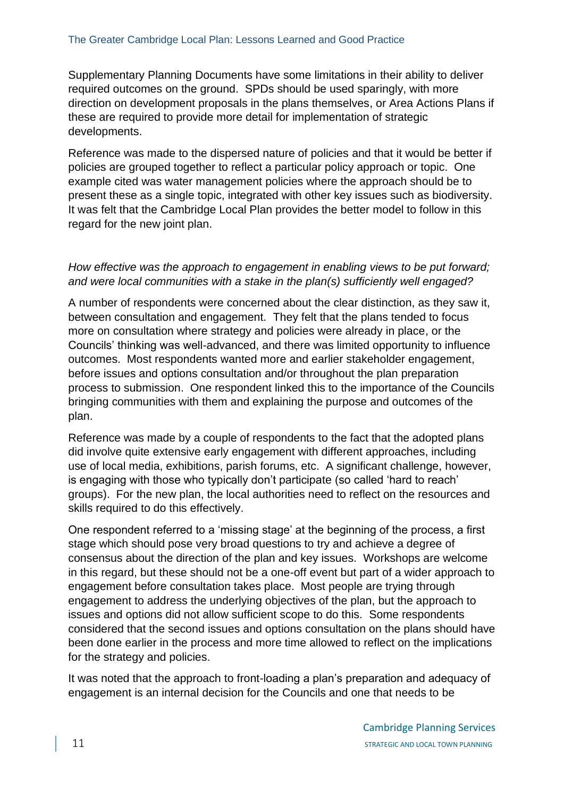Supplementary Planning Documents have some limitations in their ability to deliver required outcomes on the ground. SPDs should be used sparingly, with more direction on development proposals in the plans themselves, or Area Actions Plans if these are required to provide more detail for implementation of strategic developments.

Reference was made to the dispersed nature of policies and that it would be better if policies are grouped together to reflect a particular policy approach or topic. One example cited was water management policies where the approach should be to present these as a single topic, integrated with other key issues such as biodiversity. It was felt that the Cambridge Local Plan provides the better model to follow in this regard for the new joint plan.

#### *How effective was the approach to engagement in enabling views to be put forward; and were local communities with a stake in the plan(s) sufficiently well engaged?*

A number of respondents were concerned about the clear distinction, as they saw it, between consultation and engagement. They felt that the plans tended to focus more on consultation where strategy and policies were already in place, or the Councils' thinking was well-advanced, and there was limited opportunity to influence outcomes. Most respondents wanted more and earlier stakeholder engagement, before issues and options consultation and/or throughout the plan preparation process to submission. One respondent linked this to the importance of the Councils bringing communities with them and explaining the purpose and outcomes of the plan.

Reference was made by a couple of respondents to the fact that the adopted plans did involve quite extensive early engagement with different approaches, including use of local media, exhibitions, parish forums, etc. A significant challenge, however, is engaging with those who typically don't participate (so called 'hard to reach' groups). For the new plan, the local authorities need to reflect on the resources and skills required to do this effectively.

One respondent referred to a 'missing stage' at the beginning of the process, a first stage which should pose very broad questions to try and achieve a degree of consensus about the direction of the plan and key issues. Workshops are welcome in this regard, but these should not be a one-off event but part of a wider approach to engagement before consultation takes place. Most people are trying through engagement to address the underlying objectives of the plan, but the approach to issues and options did not allow sufficient scope to do this. Some respondents considered that the second issues and options consultation on the plans should have been done earlier in the process and more time allowed to reflect on the implications for the strategy and policies.

It was noted that the approach to front-loading a plan's preparation and adequacy of engagement is an internal decision for the Councils and one that needs to be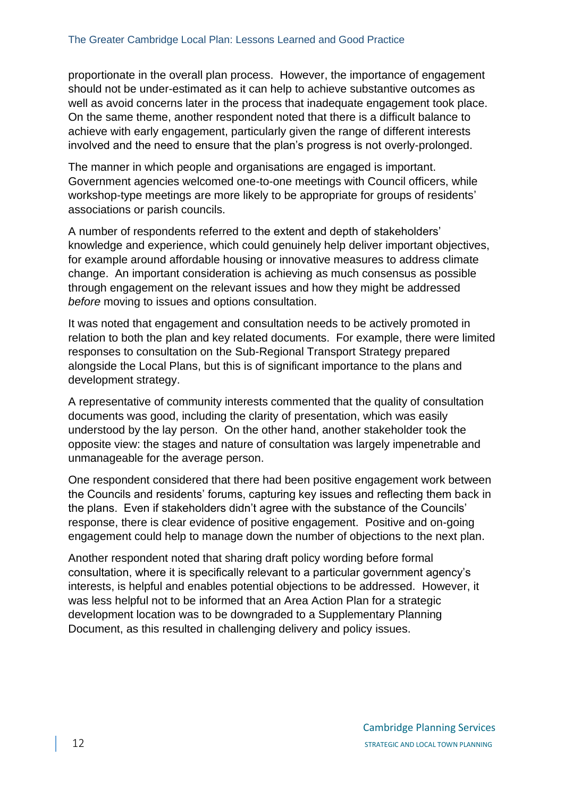proportionate in the overall plan process. However, the importance of engagement should not be under-estimated as it can help to achieve substantive outcomes as well as avoid concerns later in the process that inadequate engagement took place. On the same theme, another respondent noted that there is a difficult balance to achieve with early engagement, particularly given the range of different interests involved and the need to ensure that the plan's progress is not overly-prolonged.

The manner in which people and organisations are engaged is important. Government agencies welcomed one-to-one meetings with Council officers, while workshop-type meetings are more likely to be appropriate for groups of residents' associations or parish councils.

A number of respondents referred to the extent and depth of stakeholders' knowledge and experience, which could genuinely help deliver important objectives, for example around affordable housing or innovative measures to address climate change. An important consideration is achieving as much consensus as possible through engagement on the relevant issues and how they might be addressed *before* moving to issues and options consultation.

It was noted that engagement and consultation needs to be actively promoted in relation to both the plan and key related documents. For example, there were limited responses to consultation on the Sub-Regional Transport Strategy prepared alongside the Local Plans, but this is of significant importance to the plans and development strategy.

A representative of community interests commented that the quality of consultation documents was good, including the clarity of presentation, which was easily understood by the lay person. On the other hand, another stakeholder took the opposite view: the stages and nature of consultation was largely impenetrable and unmanageable for the average person.

One respondent considered that there had been positive engagement work between the Councils and residents' forums, capturing key issues and reflecting them back in the plans. Even if stakeholders didn't agree with the substance of the Councils' response, there is clear evidence of positive engagement. Positive and on-going engagement could help to manage down the number of objections to the next plan.

Another respondent noted that sharing draft policy wording before formal consultation, where it is specifically relevant to a particular government agency's interests, is helpful and enables potential objections to be addressed. However, it was less helpful not to be informed that an Area Action Plan for a strategic development location was to be downgraded to a Supplementary Planning Document, as this resulted in challenging delivery and policy issues.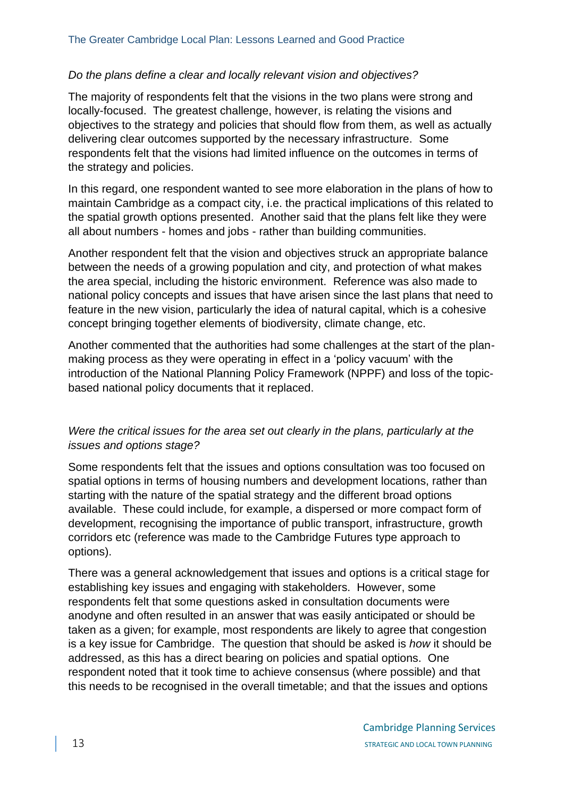#### *Do the plans define a clear and locally relevant vision and objectives?*

The majority of respondents felt that the visions in the two plans were strong and locally-focused. The greatest challenge, however, is relating the visions and objectives to the strategy and policies that should flow from them, as well as actually delivering clear outcomes supported by the necessary infrastructure. Some respondents felt that the visions had limited influence on the outcomes in terms of the strategy and policies.

In this regard, one respondent wanted to see more elaboration in the plans of how to maintain Cambridge as a compact city, i.e. the practical implications of this related to the spatial growth options presented. Another said that the plans felt like they were all about numbers - homes and jobs - rather than building communities.

Another respondent felt that the vision and objectives struck an appropriate balance between the needs of a growing population and city, and protection of what makes the area special, including the historic environment. Reference was also made to national policy concepts and issues that have arisen since the last plans that need to feature in the new vision, particularly the idea of natural capital, which is a cohesive concept bringing together elements of biodiversity, climate change, etc.

Another commented that the authorities had some challenges at the start of the planmaking process as they were operating in effect in a 'policy vacuum' with the introduction of the National Planning Policy Framework (NPPF) and loss of the topicbased national policy documents that it replaced.

#### *Were the critical issues for the area set out clearly in the plans, particularly at the issues and options stage?*

Some respondents felt that the issues and options consultation was too focused on spatial options in terms of housing numbers and development locations, rather than starting with the nature of the spatial strategy and the different broad options available. These could include, for example, a dispersed or more compact form of development, recognising the importance of public transport, infrastructure, growth corridors etc (reference was made to the Cambridge Futures type approach to options).

There was a general acknowledgement that issues and options is a critical stage for establishing key issues and engaging with stakeholders. However, some respondents felt that some questions asked in consultation documents were anodyne and often resulted in an answer that was easily anticipated or should be taken as a given; for example, most respondents are likely to agree that congestion is a key issue for Cambridge. The question that should be asked is *how* it should be addressed, as this has a direct bearing on policies and spatial options. One respondent noted that it took time to achieve consensus (where possible) and that this needs to be recognised in the overall timetable; and that the issues and options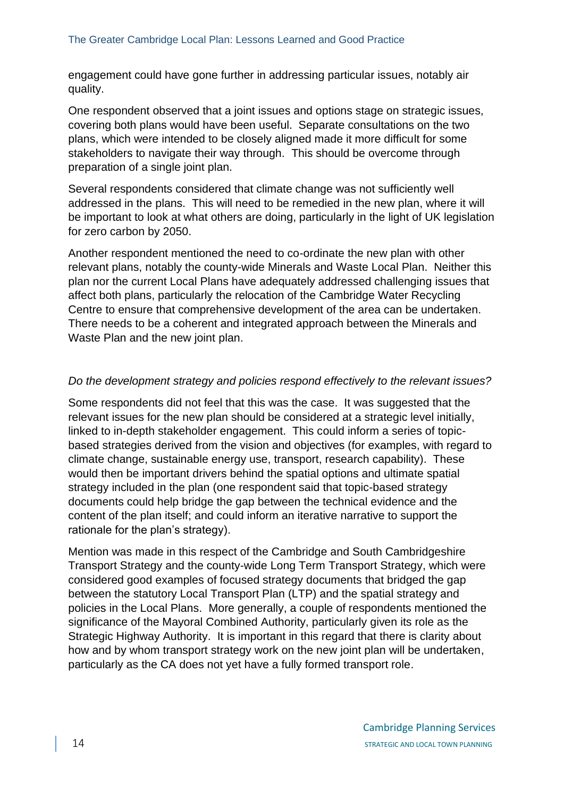engagement could have gone further in addressing particular issues, notably air quality.

One respondent observed that a joint issues and options stage on strategic issues, covering both plans would have been useful. Separate consultations on the two plans, which were intended to be closely aligned made it more difficult for some stakeholders to navigate their way through. This should be overcome through preparation of a single joint plan.

Several respondents considered that climate change was not sufficiently well addressed in the plans. This will need to be remedied in the new plan, where it will be important to look at what others are doing, particularly in the light of UK legislation for zero carbon by 2050.

Another respondent mentioned the need to co-ordinate the new plan with other relevant plans, notably the county-wide Minerals and Waste Local Plan. Neither this plan nor the current Local Plans have adequately addressed challenging issues that affect both plans, particularly the relocation of the Cambridge Water Recycling Centre to ensure that comprehensive development of the area can be undertaken. There needs to be a coherent and integrated approach between the Minerals and Waste Plan and the new joint plan.

#### *Do the development strategy and policies respond effectively to the relevant issues?*

Some respondents did not feel that this was the case. It was suggested that the relevant issues for the new plan should be considered at a strategic level initially, linked to in-depth stakeholder engagement. This could inform a series of topicbased strategies derived from the vision and objectives (for examples, with regard to climate change, sustainable energy use, transport, research capability). These would then be important drivers behind the spatial options and ultimate spatial strategy included in the plan (one respondent said that topic-based strategy documents could help bridge the gap between the technical evidence and the content of the plan itself; and could inform an iterative narrative to support the rationale for the plan's strategy).

Mention was made in this respect of the Cambridge and South Cambridgeshire Transport Strategy and the county-wide Long Term Transport Strategy, which were considered good examples of focused strategy documents that bridged the gap between the statutory Local Transport Plan (LTP) and the spatial strategy and policies in the Local Plans. More generally, a couple of respondents mentioned the significance of the Mayoral Combined Authority, particularly given its role as the Strategic Highway Authority. It is important in this regard that there is clarity about how and by whom transport strategy work on the new joint plan will be undertaken, particularly as the CA does not yet have a fully formed transport role.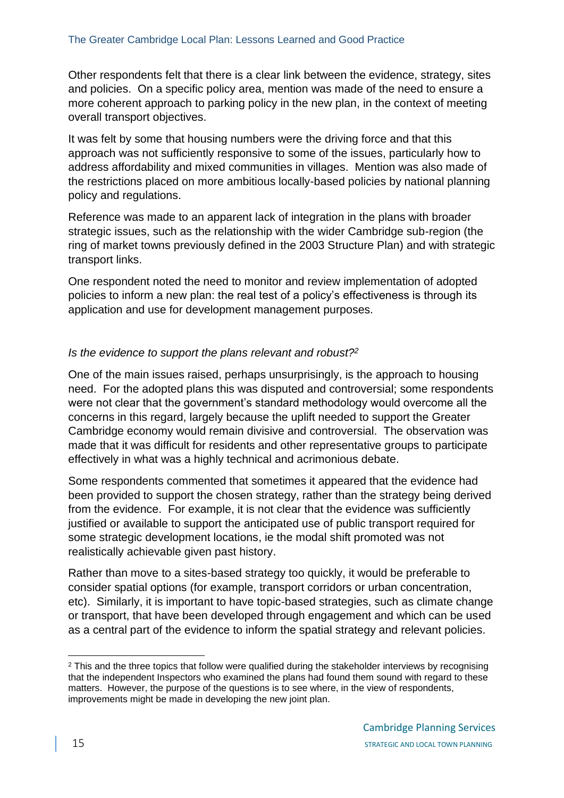Other respondents felt that there is a clear link between the evidence, strategy, sites and policies. On a specific policy area, mention was made of the need to ensure a more coherent approach to parking policy in the new plan, in the context of meeting overall transport objectives.

It was felt by some that housing numbers were the driving force and that this approach was not sufficiently responsive to some of the issues, particularly how to address affordability and mixed communities in villages. Mention was also made of the restrictions placed on more ambitious locally-based policies by national planning policy and regulations.

Reference was made to an apparent lack of integration in the plans with broader strategic issues, such as the relationship with the wider Cambridge sub-region (the ring of market towns previously defined in the 2003 Structure Plan) and with strategic transport links.

One respondent noted the need to monitor and review implementation of adopted policies to inform a new plan: the real test of a policy's effectiveness is through its application and use for development management purposes.

#### *Is the evidence to support the plans relevant and robust?<sup>2</sup>*

One of the main issues raised, perhaps unsurprisingly, is the approach to housing need. For the adopted plans this was disputed and controversial; some respondents were not clear that the government's standard methodology would overcome all the concerns in this regard, largely because the uplift needed to support the Greater Cambridge economy would remain divisive and controversial. The observation was made that it was difficult for residents and other representative groups to participate effectively in what was a highly technical and acrimonious debate.

Some respondents commented that sometimes it appeared that the evidence had been provided to support the chosen strategy, rather than the strategy being derived from the evidence. For example, it is not clear that the evidence was sufficiently justified or available to support the anticipated use of public transport required for some strategic development locations, ie the modal shift promoted was not realistically achievable given past history.

Rather than move to a sites-based strategy too quickly, it would be preferable to consider spatial options (for example, transport corridors or urban concentration, etc). Similarly, it is important to have topic-based strategies, such as climate change or transport, that have been developed through engagement and which can be used as a central part of the evidence to inform the spatial strategy and relevant policies.

<sup>&</sup>lt;sup>2</sup> This and the three topics that follow were qualified during the stakeholder interviews by recognising that the independent Inspectors who examined the plans had found them sound with regard to these matters. However, the purpose of the questions is to see where, in the view of respondents, improvements might be made in developing the new joint plan.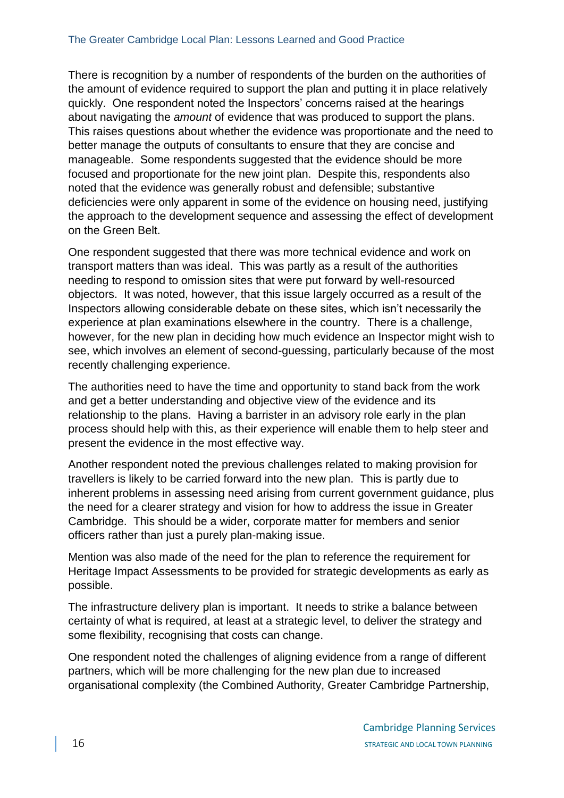There is recognition by a number of respondents of the burden on the authorities of the amount of evidence required to support the plan and putting it in place relatively quickly. One respondent noted the Inspectors' concerns raised at the hearings about navigating the *amount* of evidence that was produced to support the plans. This raises questions about whether the evidence was proportionate and the need to better manage the outputs of consultants to ensure that they are concise and manageable. Some respondents suggested that the evidence should be more focused and proportionate for the new joint plan. Despite this, respondents also noted that the evidence was generally robust and defensible; substantive deficiencies were only apparent in some of the evidence on housing need, justifying the approach to the development sequence and assessing the effect of development on the Green Belt.

One respondent suggested that there was more technical evidence and work on transport matters than was ideal. This was partly as a result of the authorities needing to respond to omission sites that were put forward by well-resourced objectors. It was noted, however, that this issue largely occurred as a result of the Inspectors allowing considerable debate on these sites, which isn't necessarily the experience at plan examinations elsewhere in the country. There is a challenge, however, for the new plan in deciding how much evidence an Inspector might wish to see, which involves an element of second-guessing, particularly because of the most recently challenging experience.

The authorities need to have the time and opportunity to stand back from the work and get a better understanding and objective view of the evidence and its relationship to the plans. Having a barrister in an advisory role early in the plan process should help with this, as their experience will enable them to help steer and present the evidence in the most effective way.

Another respondent noted the previous challenges related to making provision for travellers is likely to be carried forward into the new plan. This is partly due to inherent problems in assessing need arising from current government guidance, plus the need for a clearer strategy and vision for how to address the issue in Greater Cambridge. This should be a wider, corporate matter for members and senior officers rather than just a purely plan-making issue.

Mention was also made of the need for the plan to reference the requirement for Heritage Impact Assessments to be provided for strategic developments as early as possible.

The infrastructure delivery plan is important. It needs to strike a balance between certainty of what is required, at least at a strategic level, to deliver the strategy and some flexibility, recognising that costs can change.

One respondent noted the challenges of aligning evidence from a range of different partners, which will be more challenging for the new plan due to increased organisational complexity (the Combined Authority, Greater Cambridge Partnership,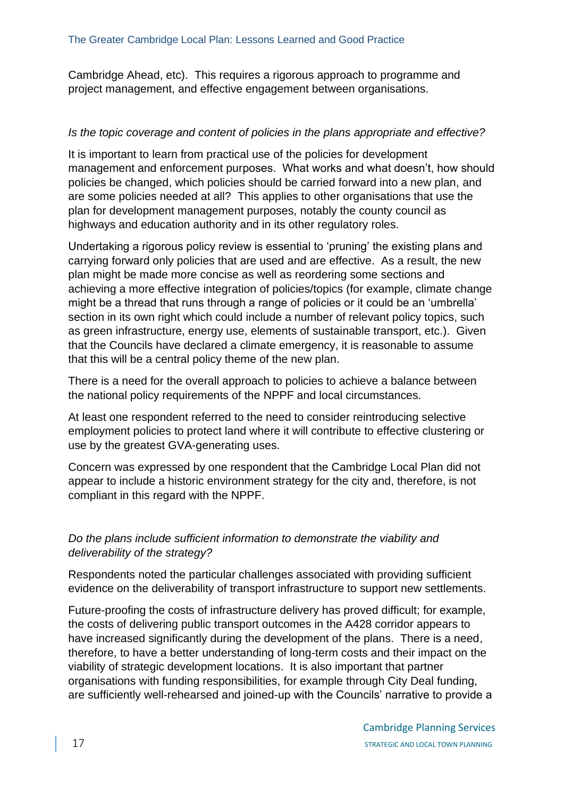Cambridge Ahead, etc). This requires a rigorous approach to programme and project management, and effective engagement between organisations.

#### *Is the topic coverage and content of policies in the plans appropriate and effective?*

It is important to learn from practical use of the policies for development management and enforcement purposes. What works and what doesn't, how should policies be changed, which policies should be carried forward into a new plan, and are some policies needed at all? This applies to other organisations that use the plan for development management purposes, notably the county council as highways and education authority and in its other regulatory roles.

Undertaking a rigorous policy review is essential to 'pruning' the existing plans and carrying forward only policies that are used and are effective. As a result, the new plan might be made more concise as well as reordering some sections and achieving a more effective integration of policies/topics (for example, climate change might be a thread that runs through a range of policies or it could be an 'umbrella' section in its own right which could include a number of relevant policy topics, such as green infrastructure, energy use, elements of sustainable transport, etc.). Given that the Councils have declared a climate emergency, it is reasonable to assume that this will be a central policy theme of the new plan.

There is a need for the overall approach to policies to achieve a balance between the national policy requirements of the NPPF and local circumstances.

At least one respondent referred to the need to consider reintroducing selective employment policies to protect land where it will contribute to effective clustering or use by the greatest GVA-generating uses.

Concern was expressed by one respondent that the Cambridge Local Plan did not appear to include a historic environment strategy for the city and, therefore, is not compliant in this regard with the NPPF.

# *Do the plans include sufficient information to demonstrate the viability and deliverability of the strategy?*

Respondents noted the particular challenges associated with providing sufficient evidence on the deliverability of transport infrastructure to support new settlements.

Future-proofing the costs of infrastructure delivery has proved difficult; for example, the costs of delivering public transport outcomes in the A428 corridor appears to have increased significantly during the development of the plans. There is a need, therefore, to have a better understanding of long-term costs and their impact on the viability of strategic development locations. It is also important that partner organisations with funding responsibilities, for example through City Deal funding, are sufficiently well-rehearsed and joined-up with the Councils' narrative to provide a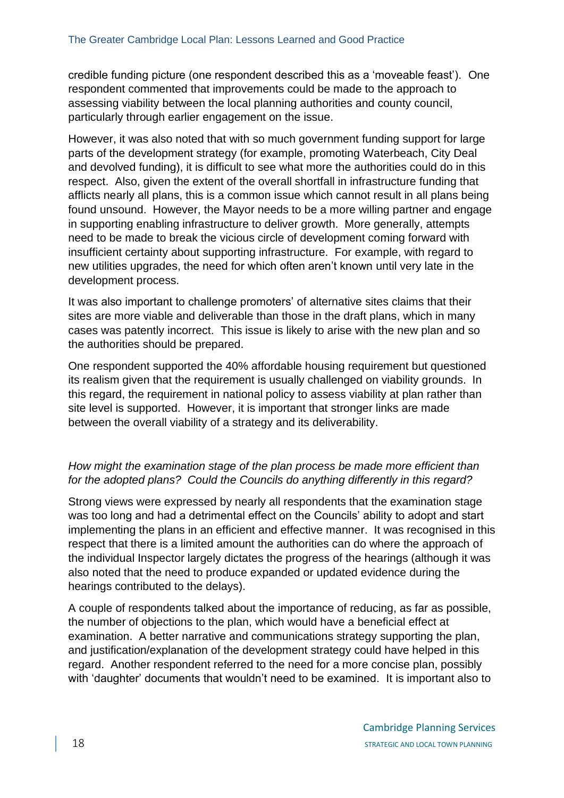credible funding picture (one respondent described this as a 'moveable feast'). One respondent commented that improvements could be made to the approach to assessing viability between the local planning authorities and county council, particularly through earlier engagement on the issue.

However, it was also noted that with so much government funding support for large parts of the development strategy (for example, promoting Waterbeach, City Deal and devolved funding), it is difficult to see what more the authorities could do in this respect. Also, given the extent of the overall shortfall in infrastructure funding that afflicts nearly all plans, this is a common issue which cannot result in all plans being found unsound. However, the Mayor needs to be a more willing partner and engage in supporting enabling infrastructure to deliver growth. More generally, attempts need to be made to break the vicious circle of development coming forward with insufficient certainty about supporting infrastructure. For example, with regard to new utilities upgrades, the need for which often aren't known until very late in the development process.

It was also important to challenge promoters' of alternative sites claims that their sites are more viable and deliverable than those in the draft plans, which in many cases was patently incorrect. This issue is likely to arise with the new plan and so the authorities should be prepared.

One respondent supported the 40% affordable housing requirement but questioned its realism given that the requirement is usually challenged on viability grounds. In this regard, the requirement in national policy to assess viability at plan rather than site level is supported. However, it is important that stronger links are made between the overall viability of a strategy and its deliverability.

# *How might the examination stage of the plan process be made more efficient than for the adopted plans? Could the Councils do anything differently in this regard?*

Strong views were expressed by nearly all respondents that the examination stage was too long and had a detrimental effect on the Councils' ability to adopt and start implementing the plans in an efficient and effective manner. It was recognised in this respect that there is a limited amount the authorities can do where the approach of the individual Inspector largely dictates the progress of the hearings (although it was also noted that the need to produce expanded or updated evidence during the hearings contributed to the delays).

A couple of respondents talked about the importance of reducing, as far as possible, the number of objections to the plan, which would have a beneficial effect at examination. A better narrative and communications strategy supporting the plan, and justification/explanation of the development strategy could have helped in this regard. Another respondent referred to the need for a more concise plan, possibly with 'daughter' documents that wouldn't need to be examined. It is important also to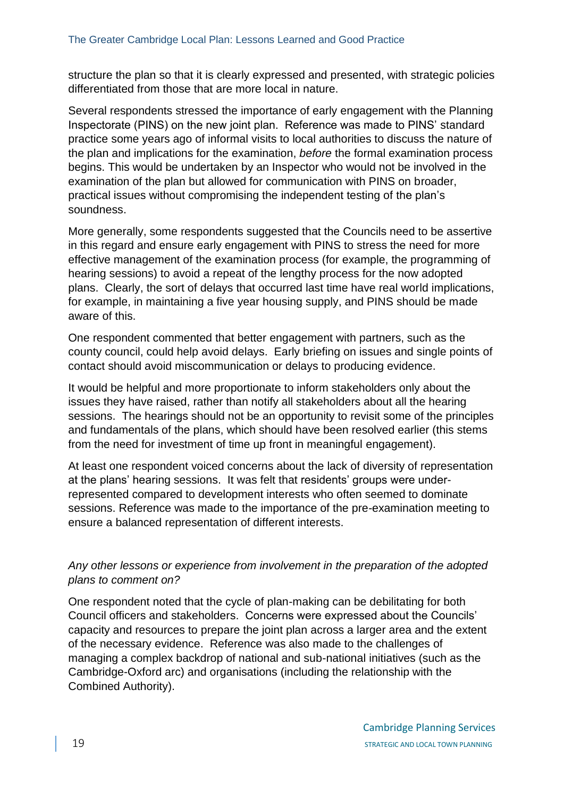structure the plan so that it is clearly expressed and presented, with strategic policies differentiated from those that are more local in nature.

Several respondents stressed the importance of early engagement with the Planning Inspectorate (PINS) on the new joint plan. Reference was made to PINS' standard practice some years ago of informal visits to local authorities to discuss the nature of the plan and implications for the examination, *before* the formal examination process begins. This would be undertaken by an Inspector who would not be involved in the examination of the plan but allowed for communication with PINS on broader, practical issues without compromising the independent testing of the plan's soundness.

More generally, some respondents suggested that the Councils need to be assertive in this regard and ensure early engagement with PINS to stress the need for more effective management of the examination process (for example, the programming of hearing sessions) to avoid a repeat of the lengthy process for the now adopted plans. Clearly, the sort of delays that occurred last time have real world implications, for example, in maintaining a five year housing supply, and PINS should be made aware of this.

One respondent commented that better engagement with partners, such as the county council, could help avoid delays. Early briefing on issues and single points of contact should avoid miscommunication or delays to producing evidence.

It would be helpful and more proportionate to inform stakeholders only about the issues they have raised, rather than notify all stakeholders about all the hearing sessions. The hearings should not be an opportunity to revisit some of the principles and fundamentals of the plans, which should have been resolved earlier (this stems from the need for investment of time up front in meaningful engagement).

At least one respondent voiced concerns about the lack of diversity of representation at the plans' hearing sessions. It was felt that residents' groups were underrepresented compared to development interests who often seemed to dominate sessions. Reference was made to the importance of the pre-examination meeting to ensure a balanced representation of different interests.

## *Any other lessons or experience from involvement in the preparation of the adopted plans to comment on?*

One respondent noted that the cycle of plan-making can be debilitating for both Council officers and stakeholders. Concerns were expressed about the Councils' capacity and resources to prepare the joint plan across a larger area and the extent of the necessary evidence. Reference was also made to the challenges of managing a complex backdrop of national and sub-national initiatives (such as the Cambridge-Oxford arc) and organisations (including the relationship with the Combined Authority).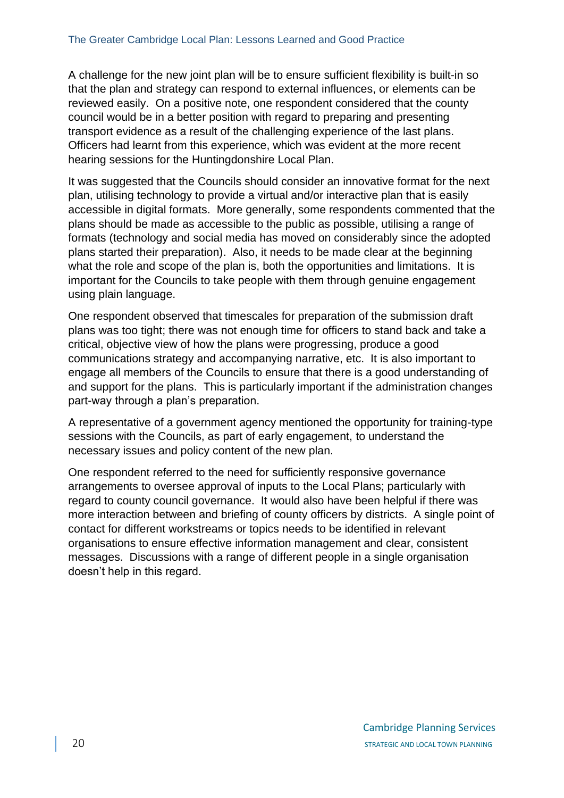A challenge for the new joint plan will be to ensure sufficient flexibility is built-in so that the plan and strategy can respond to external influences, or elements can be reviewed easily. On a positive note, one respondent considered that the county council would be in a better position with regard to preparing and presenting transport evidence as a result of the challenging experience of the last plans. Officers had learnt from this experience, which was evident at the more recent hearing sessions for the Huntingdonshire Local Plan.

It was suggested that the Councils should consider an innovative format for the next plan, utilising technology to provide a virtual and/or interactive plan that is easily accessible in digital formats. More generally, some respondents commented that the plans should be made as accessible to the public as possible, utilising a range of formats (technology and social media has moved on considerably since the adopted plans started their preparation). Also, it needs to be made clear at the beginning what the role and scope of the plan is, both the opportunities and limitations. It is important for the Councils to take people with them through genuine engagement using plain language.

One respondent observed that timescales for preparation of the submission draft plans was too tight; there was not enough time for officers to stand back and take a critical, objective view of how the plans were progressing, produce a good communications strategy and accompanying narrative, etc. It is also important to engage all members of the Councils to ensure that there is a good understanding of and support for the plans. This is particularly important if the administration changes part-way through a plan's preparation.

A representative of a government agency mentioned the opportunity for training-type sessions with the Councils, as part of early engagement, to understand the necessary issues and policy content of the new plan.

One respondent referred to the need for sufficiently responsive governance arrangements to oversee approval of inputs to the Local Plans; particularly with regard to county council governance. It would also have been helpful if there was more interaction between and briefing of county officers by districts. A single point of contact for different workstreams or topics needs to be identified in relevant organisations to ensure effective information management and clear, consistent messages. Discussions with a range of different people in a single organisation doesn't help in this regard.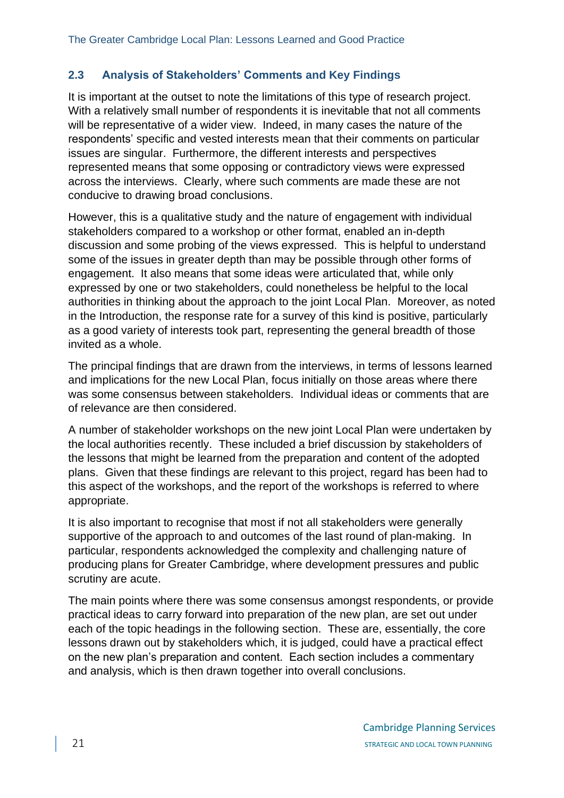# **2.3 Analysis of Stakeholders' Comments and Key Findings**

It is important at the outset to note the limitations of this type of research project. With a relatively small number of respondents it is inevitable that not all comments will be representative of a wider view. Indeed, in many cases the nature of the respondents' specific and vested interests mean that their comments on particular issues are singular. Furthermore, the different interests and perspectives represented means that some opposing or contradictory views were expressed across the interviews. Clearly, where such comments are made these are not conducive to drawing broad conclusions.

However, this is a qualitative study and the nature of engagement with individual stakeholders compared to a workshop or other format, enabled an in-depth discussion and some probing of the views expressed. This is helpful to understand some of the issues in greater depth than may be possible through other forms of engagement. It also means that some ideas were articulated that, while only expressed by one or two stakeholders, could nonetheless be helpful to the local authorities in thinking about the approach to the joint Local Plan. Moreover, as noted in the Introduction, the response rate for a survey of this kind is positive, particularly as a good variety of interests took part, representing the general breadth of those invited as a whole.

The principal findings that are drawn from the interviews, in terms of lessons learned and implications for the new Local Plan, focus initially on those areas where there was some consensus between stakeholders. Individual ideas or comments that are of relevance are then considered.

A number of stakeholder workshops on the new joint Local Plan were undertaken by the local authorities recently. These included a brief discussion by stakeholders of the lessons that might be learned from the preparation and content of the adopted plans. Given that these findings are relevant to this project, regard has been had to this aspect of the workshops, and the report of the workshops is referred to where appropriate.

It is also important to recognise that most if not all stakeholders were generally supportive of the approach to and outcomes of the last round of plan-making. In particular, respondents acknowledged the complexity and challenging nature of producing plans for Greater Cambridge, where development pressures and public scrutiny are acute.

The main points where there was some consensus amongst respondents, or provide practical ideas to carry forward into preparation of the new plan, are set out under each of the topic headings in the following section. These are, essentially, the core lessons drawn out by stakeholders which, it is judged, could have a practical effect on the new plan's preparation and content. Each section includes a commentary and analysis, which is then drawn together into overall conclusions.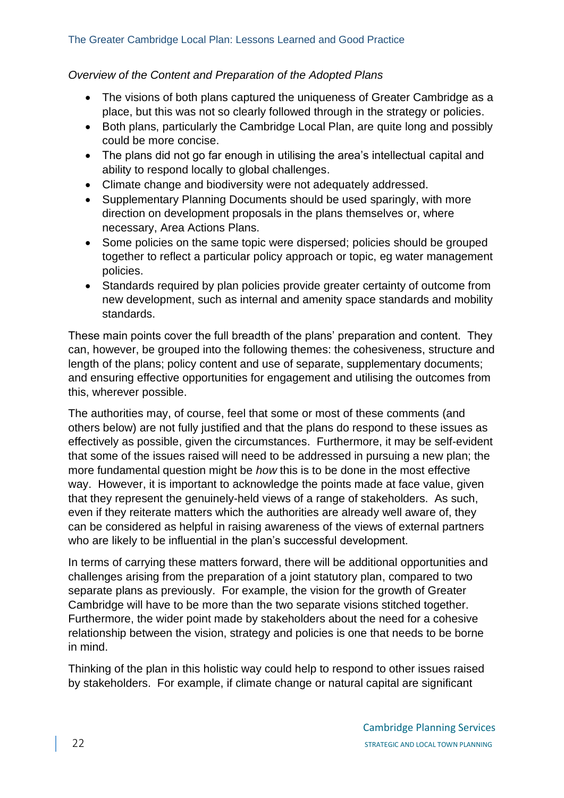## *Overview of the Content and Preparation of the Adopted Plans*

- The visions of both plans captured the uniqueness of Greater Cambridge as a place, but this was not so clearly followed through in the strategy or policies.
- Both plans, particularly the Cambridge Local Plan, are quite long and possibly could be more concise.
- The plans did not go far enough in utilising the area's intellectual capital and ability to respond locally to global challenges.
- Climate change and biodiversity were not adequately addressed.
- Supplementary Planning Documents should be used sparingly, with more direction on development proposals in the plans themselves or, where necessary, Area Actions Plans.
- Some policies on the same topic were dispersed; policies should be grouped together to reflect a particular policy approach or topic, eg water management policies.
- Standards required by plan policies provide greater certainty of outcome from new development, such as internal and amenity space standards and mobility standards.

These main points cover the full breadth of the plans' preparation and content. They can, however, be grouped into the following themes: the cohesiveness, structure and length of the plans; policy content and use of separate, supplementary documents; and ensuring effective opportunities for engagement and utilising the outcomes from this, wherever possible.

The authorities may, of course, feel that some or most of these comments (and others below) are not fully justified and that the plans do respond to these issues as effectively as possible, given the circumstances. Furthermore, it may be self-evident that some of the issues raised will need to be addressed in pursuing a new plan; the more fundamental question might be *how* this is to be done in the most effective way. However, it is important to acknowledge the points made at face value, given that they represent the genuinely-held views of a range of stakeholders. As such, even if they reiterate matters which the authorities are already well aware of, they can be considered as helpful in raising awareness of the views of external partners who are likely to be influential in the plan's successful development.

In terms of carrying these matters forward, there will be additional opportunities and challenges arising from the preparation of a joint statutory plan, compared to two separate plans as previously. For example, the vision for the growth of Greater Cambridge will have to be more than the two separate visions stitched together. Furthermore, the wider point made by stakeholders about the need for a cohesive relationship between the vision, strategy and policies is one that needs to be borne in mind.

Thinking of the plan in this holistic way could help to respond to other issues raised by stakeholders. For example, if climate change or natural capital are significant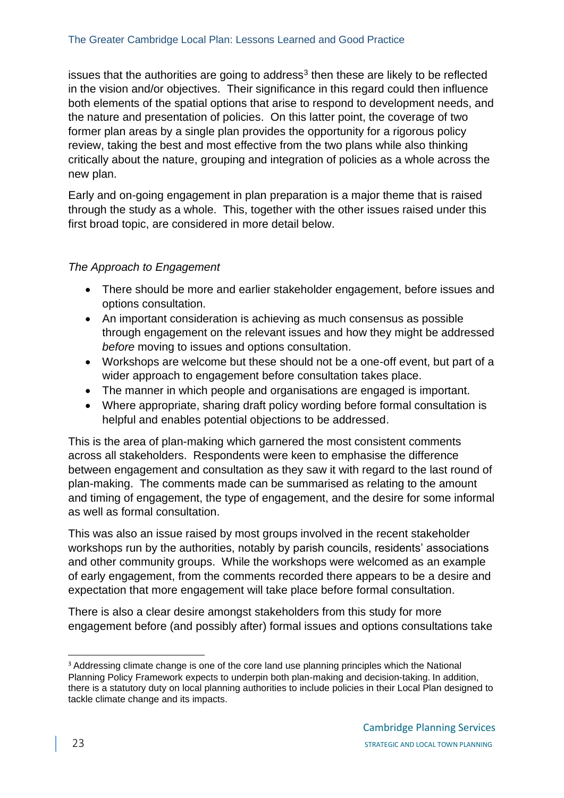issues that the authorities are going to address $3$  then these are likely to be reflected in the vision and/or objectives. Their significance in this regard could then influence both elements of the spatial options that arise to respond to development needs, and the nature and presentation of policies. On this latter point, the coverage of two former plan areas by a single plan provides the opportunity for a rigorous policy review, taking the best and most effective from the two plans while also thinking critically about the nature, grouping and integration of policies as a whole across the new plan.

Early and on-going engagement in plan preparation is a major theme that is raised through the study as a whole. This, together with the other issues raised under this first broad topic, are considered in more detail below.

## *The Approach to Engagement*

- There should be more and earlier stakeholder engagement, before issues and options consultation.
- An important consideration is achieving as much consensus as possible through engagement on the relevant issues and how they might be addressed *before* moving to issues and options consultation.
- Workshops are welcome but these should not be a one-off event, but part of a wider approach to engagement before consultation takes place.
- The manner in which people and organisations are engaged is important.
- Where appropriate, sharing draft policy wording before formal consultation is helpful and enables potential objections to be addressed.

This is the area of plan-making which garnered the most consistent comments across all stakeholders. Respondents were keen to emphasise the difference between engagement and consultation as they saw it with regard to the last round of plan-making. The comments made can be summarised as relating to the amount and timing of engagement, the type of engagement, and the desire for some informal as well as formal consultation.

This was also an issue raised by most groups involved in the recent stakeholder workshops run by the authorities, notably by parish councils, residents' associations and other community groups. While the workshops were welcomed as an example of early engagement, from the comments recorded there appears to be a desire and expectation that more engagement will take place before formal consultation.

There is also a clear desire amongst stakeholders from this study for more engagement before (and possibly after) formal issues and options consultations take

<sup>&</sup>lt;sup>3</sup> Addressing climate change is one of the core land use planning principles which the National Planning Policy Framework expects to underpin both plan-making and decision-taking. In addition, there is a statutory duty on local planning authorities to include policies in their Local Plan designed to tackle climate change and its impacts.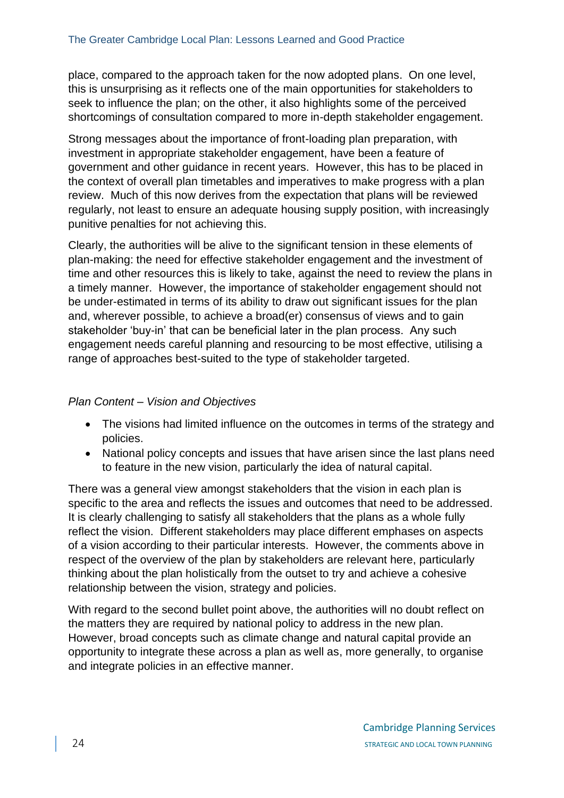place, compared to the approach taken for the now adopted plans. On one level, this is unsurprising as it reflects one of the main opportunities for stakeholders to seek to influence the plan; on the other, it also highlights some of the perceived shortcomings of consultation compared to more in-depth stakeholder engagement.

Strong messages about the importance of front-loading plan preparation, with investment in appropriate stakeholder engagement, have been a feature of government and other guidance in recent years. However, this has to be placed in the context of overall plan timetables and imperatives to make progress with a plan review. Much of this now derives from the expectation that plans will be reviewed regularly, not least to ensure an adequate housing supply position, with increasingly punitive penalties for not achieving this.

Clearly, the authorities will be alive to the significant tension in these elements of plan-making: the need for effective stakeholder engagement and the investment of time and other resources this is likely to take, against the need to review the plans in a timely manner. However, the importance of stakeholder engagement should not be under-estimated in terms of its ability to draw out significant issues for the plan and, wherever possible, to achieve a broad(er) consensus of views and to gain stakeholder 'buy-in' that can be beneficial later in the plan process. Any such engagement needs careful planning and resourcing to be most effective, utilising a range of approaches best-suited to the type of stakeholder targeted.

#### *Plan Content – Vision and Objectives*

- The visions had limited influence on the outcomes in terms of the strategy and policies.
- National policy concepts and issues that have arisen since the last plans need to feature in the new vision, particularly the idea of natural capital.

There was a general view amongst stakeholders that the vision in each plan is specific to the area and reflects the issues and outcomes that need to be addressed. It is clearly challenging to satisfy all stakeholders that the plans as a whole fully reflect the vision. Different stakeholders may place different emphases on aspects of a vision according to their particular interests. However, the comments above in respect of the overview of the plan by stakeholders are relevant here, particularly thinking about the plan holistically from the outset to try and achieve a cohesive relationship between the vision, strategy and policies.

With regard to the second bullet point above, the authorities will no doubt reflect on the matters they are required by national policy to address in the new plan. However, broad concepts such as climate change and natural capital provide an opportunity to integrate these across a plan as well as, more generally, to organise and integrate policies in an effective manner.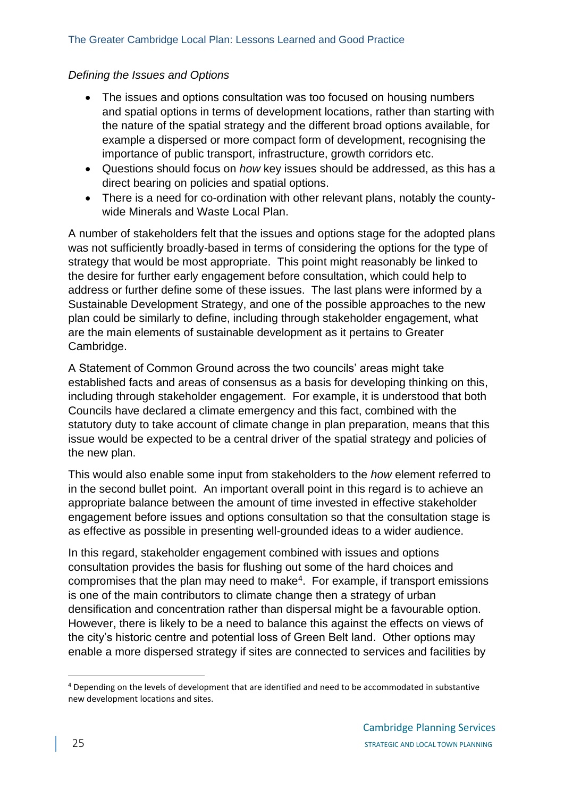#### The Greater Cambridge Local Plan: Lessons Learned and Good Practice

#### *Defining the Issues and Options*

- The issues and options consultation was too focused on housing numbers and spatial options in terms of development locations, rather than starting with the nature of the spatial strategy and the different broad options available, for example a dispersed or more compact form of development, recognising the importance of public transport, infrastructure, growth corridors etc.
- Questions should focus on *how* key issues should be addressed, as this has a direct bearing on policies and spatial options.
- There is a need for co-ordination with other relevant plans, notably the countywide Minerals and Waste Local Plan.

A number of stakeholders felt that the issues and options stage for the adopted plans was not sufficiently broadly-based in terms of considering the options for the type of strategy that would be most appropriate. This point might reasonably be linked to the desire for further early engagement before consultation, which could help to address or further define some of these issues. The last plans were informed by a Sustainable Development Strategy, and one of the possible approaches to the new plan could be similarly to define, including through stakeholder engagement, what are the main elements of sustainable development as it pertains to Greater Cambridge.

A Statement of Common Ground across the two councils' areas might take established facts and areas of consensus as a basis for developing thinking on this, including through stakeholder engagement. For example, it is understood that both Councils have declared a climate emergency and this fact, combined with the statutory duty to take account of climate change in plan preparation, means that this issue would be expected to be a central driver of the spatial strategy and policies of the new plan.

This would also enable some input from stakeholders to the *how* element referred to in the second bullet point. An important overall point in this regard is to achieve an appropriate balance between the amount of time invested in effective stakeholder engagement before issues and options consultation so that the consultation stage is as effective as possible in presenting well-grounded ideas to a wider audience.

In this regard, stakeholder engagement combined with issues and options consultation provides the basis for flushing out some of the hard choices and compromises that the plan may need to make<sup>4</sup>. For example, if transport emissions is one of the main contributors to climate change then a strategy of urban densification and concentration rather than dispersal might be a favourable option. However, there is likely to be a need to balance this against the effects on views of the city's historic centre and potential loss of Green Belt land. Other options may enable a more dispersed strategy if sites are connected to services and facilities by

<sup>4</sup> Depending on the levels of development that are identified and need to be accommodated in substantive new development locations and sites.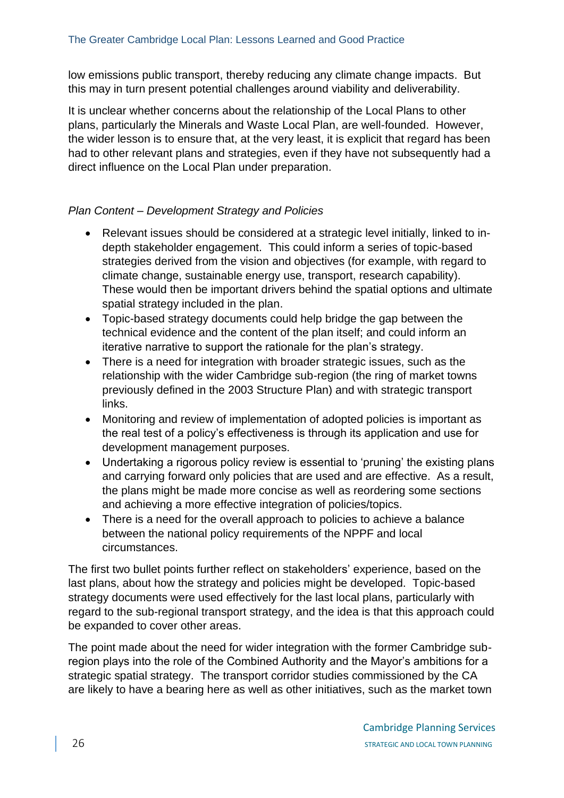low emissions public transport, thereby reducing any climate change impacts. But this may in turn present potential challenges around viability and deliverability.

It is unclear whether concerns about the relationship of the Local Plans to other plans, particularly the Minerals and Waste Local Plan, are well-founded. However, the wider lesson is to ensure that, at the very least, it is explicit that regard has been had to other relevant plans and strategies, even if they have not subsequently had a direct influence on the Local Plan under preparation.

# *Plan Content – Development Strategy and Policies*

- Relevant issues should be considered at a strategic level initially, linked to indepth stakeholder engagement. This could inform a series of topic-based strategies derived from the vision and objectives (for example, with regard to climate change, sustainable energy use, transport, research capability). These would then be important drivers behind the spatial options and ultimate spatial strategy included in the plan.
- Topic-based strategy documents could help bridge the gap between the technical evidence and the content of the plan itself; and could inform an iterative narrative to support the rationale for the plan's strategy.
- There is a need for integration with broader strategic issues, such as the relationship with the wider Cambridge sub-region (the ring of market towns previously defined in the 2003 Structure Plan) and with strategic transport links.
- Monitoring and review of implementation of adopted policies is important as the real test of a policy's effectiveness is through its application and use for development management purposes.
- Undertaking a rigorous policy review is essential to 'pruning' the existing plans and carrying forward only policies that are used and are effective. As a result, the plans might be made more concise as well as reordering some sections and achieving a more effective integration of policies/topics.
- There is a need for the overall approach to policies to achieve a balance between the national policy requirements of the NPPF and local circumstances.

The first two bullet points further reflect on stakeholders' experience, based on the last plans, about how the strategy and policies might be developed. Topic-based strategy documents were used effectively for the last local plans, particularly with regard to the sub-regional transport strategy, and the idea is that this approach could be expanded to cover other areas.

The point made about the need for wider integration with the former Cambridge subregion plays into the role of the Combined Authority and the Mayor's ambitions for a strategic spatial strategy. The transport corridor studies commissioned by the CA are likely to have a bearing here as well as other initiatives, such as the market town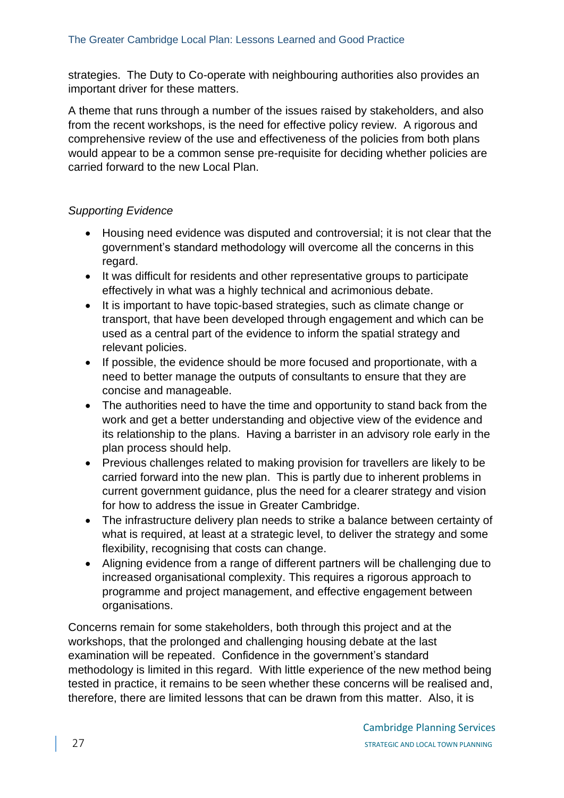strategies. The Duty to Co-operate with neighbouring authorities also provides an important driver for these matters.

A theme that runs through a number of the issues raised by stakeholders, and also from the recent workshops, is the need for effective policy review. A rigorous and comprehensive review of the use and effectiveness of the policies from both plans would appear to be a common sense pre-requisite for deciding whether policies are carried forward to the new Local Plan.

# *Supporting Evidence*

- Housing need evidence was disputed and controversial; it is not clear that the government's standard methodology will overcome all the concerns in this regard.
- It was difficult for residents and other representative groups to participate effectively in what was a highly technical and acrimonious debate.
- It is important to have topic-based strategies, such as climate change or transport, that have been developed through engagement and which can be used as a central part of the evidence to inform the spatial strategy and relevant policies.
- If possible, the evidence should be more focused and proportionate, with a need to better manage the outputs of consultants to ensure that they are concise and manageable.
- The authorities need to have the time and opportunity to stand back from the work and get a better understanding and objective view of the evidence and its relationship to the plans. Having a barrister in an advisory role early in the plan process should help.
- Previous challenges related to making provision for travellers are likely to be carried forward into the new plan. This is partly due to inherent problems in current government guidance, plus the need for a clearer strategy and vision for how to address the issue in Greater Cambridge.
- The infrastructure delivery plan needs to strike a balance between certainty of what is required, at least at a strategic level, to deliver the strategy and some flexibility, recognising that costs can change.
- Aligning evidence from a range of different partners will be challenging due to increased organisational complexity. This requires a rigorous approach to programme and project management, and effective engagement between organisations.

Concerns remain for some stakeholders, both through this project and at the workshops, that the prolonged and challenging housing debate at the last examination will be repeated. Confidence in the government's standard methodology is limited in this regard. With little experience of the new method being tested in practice, it remains to be seen whether these concerns will be realised and, therefore, there are limited lessons that can be drawn from this matter. Also, it is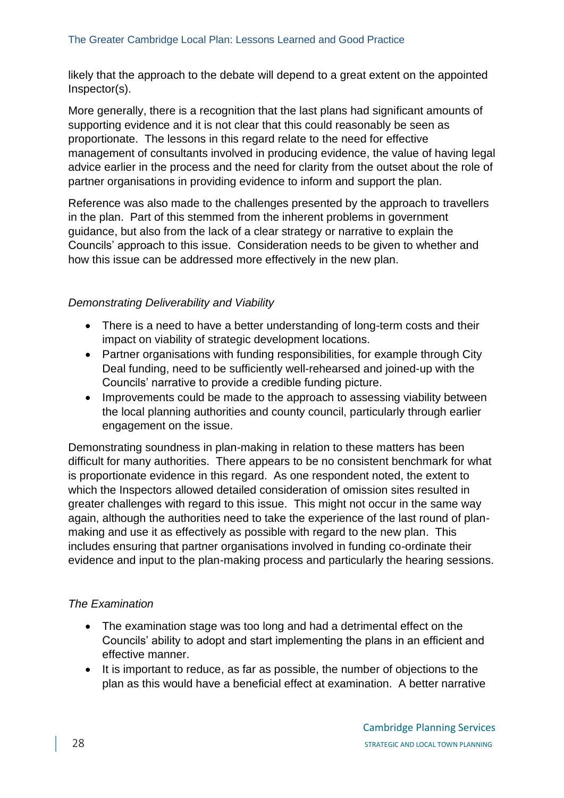likely that the approach to the debate will depend to a great extent on the appointed Inspector(s).

More generally, there is a recognition that the last plans had significant amounts of supporting evidence and it is not clear that this could reasonably be seen as proportionate. The lessons in this regard relate to the need for effective management of consultants involved in producing evidence, the value of having legal advice earlier in the process and the need for clarity from the outset about the role of partner organisations in providing evidence to inform and support the plan.

Reference was also made to the challenges presented by the approach to travellers in the plan. Part of this stemmed from the inherent problems in government guidance, but also from the lack of a clear strategy or narrative to explain the Councils' approach to this issue. Consideration needs to be given to whether and how this issue can be addressed more effectively in the new plan.

#### *Demonstrating Deliverability and Viability*

- There is a need to have a better understanding of long-term costs and their impact on viability of strategic development locations.
- Partner organisations with funding responsibilities, for example through City Deal funding, need to be sufficiently well-rehearsed and joined-up with the Councils' narrative to provide a credible funding picture.
- Improvements could be made to the approach to assessing viability between the local planning authorities and county council, particularly through earlier engagement on the issue.

Demonstrating soundness in plan-making in relation to these matters has been difficult for many authorities. There appears to be no consistent benchmark for what is proportionate evidence in this regard. As one respondent noted, the extent to which the Inspectors allowed detailed consideration of omission sites resulted in greater challenges with regard to this issue. This might not occur in the same way again, although the authorities need to take the experience of the last round of planmaking and use it as effectively as possible with regard to the new plan. This includes ensuring that partner organisations involved in funding co-ordinate their evidence and input to the plan-making process and particularly the hearing sessions.

## *The Examination*

- The examination stage was too long and had a detrimental effect on the Councils' ability to adopt and start implementing the plans in an efficient and effective manner.
- It is important to reduce, as far as possible, the number of objections to the plan as this would have a beneficial effect at examination. A better narrative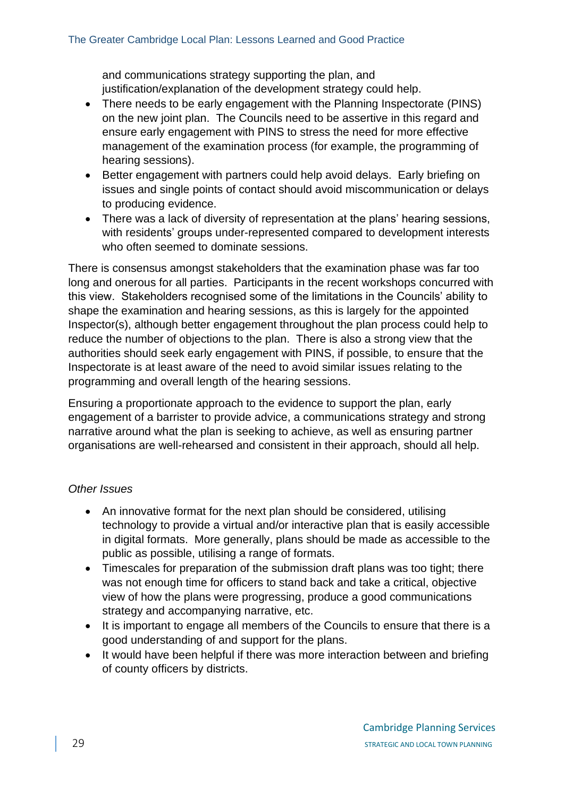and communications strategy supporting the plan, and justification/explanation of the development strategy could help.

- There needs to be early engagement with the Planning Inspectorate (PINS) on the new joint plan. The Councils need to be assertive in this regard and ensure early engagement with PINS to stress the need for more effective management of the examination process (for example, the programming of hearing sessions).
- Better engagement with partners could help avoid delays. Early briefing on issues and single points of contact should avoid miscommunication or delays to producing evidence.
- There was a lack of diversity of representation at the plans' hearing sessions, with residents' groups under-represented compared to development interests who often seemed to dominate sessions.

There is consensus amongst stakeholders that the examination phase was far too long and onerous for all parties. Participants in the recent workshops concurred with this view. Stakeholders recognised some of the limitations in the Councils' ability to shape the examination and hearing sessions, as this is largely for the appointed Inspector(s), although better engagement throughout the plan process could help to reduce the number of objections to the plan. There is also a strong view that the authorities should seek early engagement with PINS, if possible, to ensure that the Inspectorate is at least aware of the need to avoid similar issues relating to the programming and overall length of the hearing sessions.

Ensuring a proportionate approach to the evidence to support the plan, early engagement of a barrister to provide advice, a communications strategy and strong narrative around what the plan is seeking to achieve, as well as ensuring partner organisations are well-rehearsed and consistent in their approach, should all help.

## *Other Issues*

- An innovative format for the next plan should be considered, utilising technology to provide a virtual and/or interactive plan that is easily accessible in digital formats. More generally, plans should be made as accessible to the public as possible, utilising a range of formats.
- Timescales for preparation of the submission draft plans was too tight; there was not enough time for officers to stand back and take a critical, objective view of how the plans were progressing, produce a good communications strategy and accompanying narrative, etc.
- It is important to engage all members of the Councils to ensure that there is a good understanding of and support for the plans.
- It would have been helpful if there was more interaction between and briefing of county officers by districts.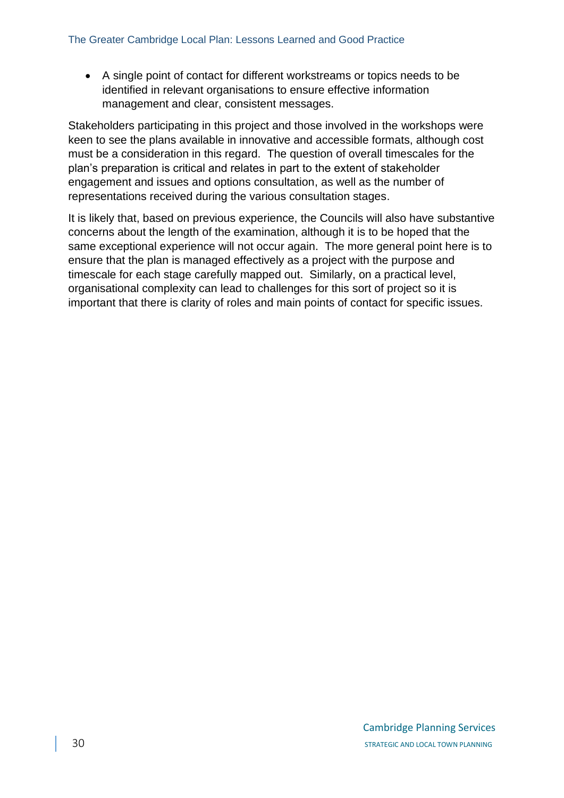• A single point of contact for different workstreams or topics needs to be identified in relevant organisations to ensure effective information management and clear, consistent messages.

Stakeholders participating in this project and those involved in the workshops were keen to see the plans available in innovative and accessible formats, although cost must be a consideration in this regard. The question of overall timescales for the plan's preparation is critical and relates in part to the extent of stakeholder engagement and issues and options consultation, as well as the number of representations received during the various consultation stages.

It is likely that, based on previous experience, the Councils will also have substantive concerns about the length of the examination, although it is to be hoped that the same exceptional experience will not occur again. The more general point here is to ensure that the plan is managed effectively as a project with the purpose and timescale for each stage carefully mapped out. Similarly, on a practical level, organisational complexity can lead to challenges for this sort of project so it is important that there is clarity of roles and main points of contact for specific issues.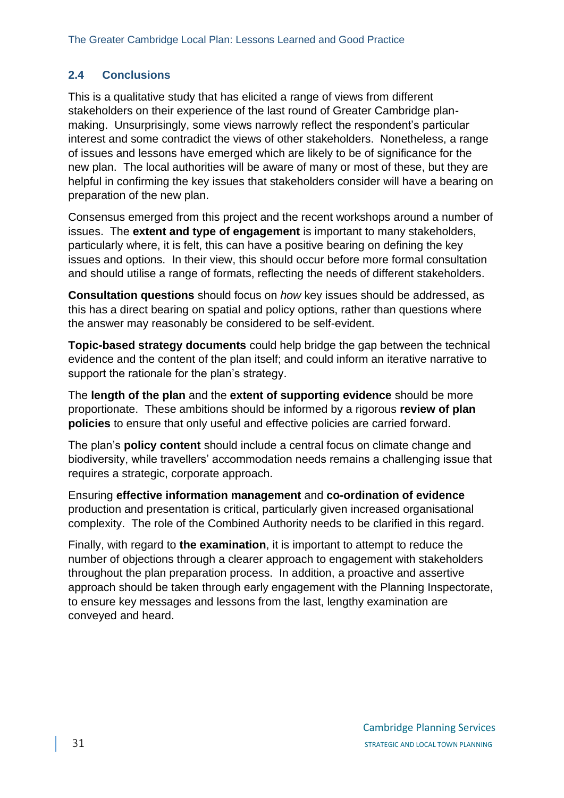# **2.4 Conclusions**

This is a qualitative study that has elicited a range of views from different stakeholders on their experience of the last round of Greater Cambridge planmaking. Unsurprisingly, some views narrowly reflect the respondent's particular interest and some contradict the views of other stakeholders. Nonetheless, a range of issues and lessons have emerged which are likely to be of significance for the new plan. The local authorities will be aware of many or most of these, but they are helpful in confirming the key issues that stakeholders consider will have a bearing on preparation of the new plan.

Consensus emerged from this project and the recent workshops around a number of issues. The **extent and type of engagement** is important to many stakeholders, particularly where, it is felt, this can have a positive bearing on defining the key issues and options. In their view, this should occur before more formal consultation and should utilise a range of formats, reflecting the needs of different stakeholders.

**Consultation questions** should focus on *how* key issues should be addressed, as this has a direct bearing on spatial and policy options, rather than questions where the answer may reasonably be considered to be self-evident.

**Topic-based strategy documents** could help bridge the gap between the technical evidence and the content of the plan itself; and could inform an iterative narrative to support the rationale for the plan's strategy.

The **length of the plan** and the **extent of supporting evidence** should be more proportionate. These ambitions should be informed by a rigorous **review of plan policies** to ensure that only useful and effective policies are carried forward.

The plan's **policy content** should include a central focus on climate change and biodiversity, while travellers' accommodation needs remains a challenging issue that requires a strategic, corporate approach.

Ensuring **effective information management** and **co-ordination of evidence** production and presentation is critical, particularly given increased organisational complexity. The role of the Combined Authority needs to be clarified in this regard.

Finally, with regard to **the examination**, it is important to attempt to reduce the number of objections through a clearer approach to engagement with stakeholders throughout the plan preparation process. In addition, a proactive and assertive approach should be taken through early engagement with the Planning Inspectorate, to ensure key messages and lessons from the last, lengthy examination are conveyed and heard.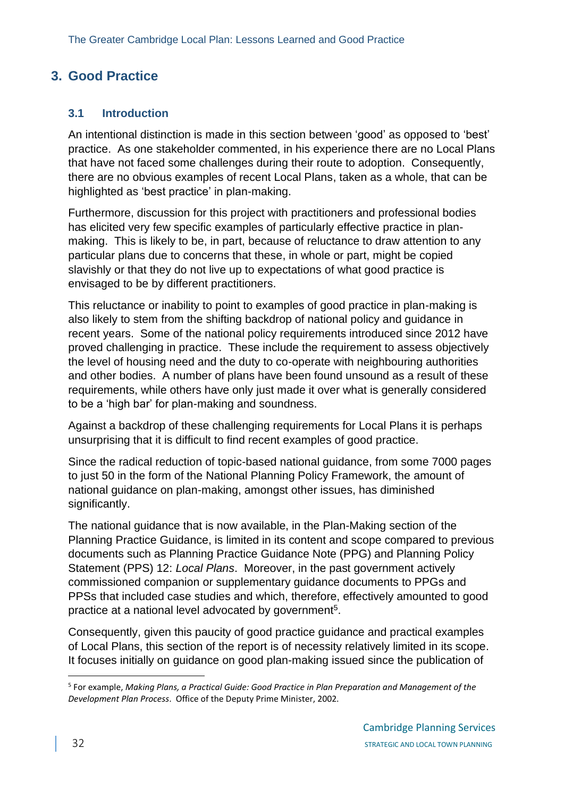# <span id="page-31-0"></span>**3. Good Practice**

# **3.1 Introduction**

An intentional distinction is made in this section between 'good' as opposed to 'best' practice. As one stakeholder commented, in his experience there are no Local Plans that have not faced some challenges during their route to adoption. Consequently, there are no obvious examples of recent Local Plans, taken as a whole, that can be highlighted as 'best practice' in plan-making.

Furthermore, discussion for this project with practitioners and professional bodies has elicited very few specific examples of particularly effective practice in planmaking. This is likely to be, in part, because of reluctance to draw attention to any particular plans due to concerns that these, in whole or part, might be copied slavishly or that they do not live up to expectations of what good practice is envisaged to be by different practitioners.

This reluctance or inability to point to examples of good practice in plan-making is also likely to stem from the shifting backdrop of national policy and guidance in recent years. Some of the national policy requirements introduced since 2012 have proved challenging in practice. These include the requirement to assess objectively the level of housing need and the duty to co-operate with neighbouring authorities and other bodies. A number of plans have been found unsound as a result of these requirements, while others have only just made it over what is generally considered to be a 'high bar' for plan-making and soundness.

Against a backdrop of these challenging requirements for Local Plans it is perhaps unsurprising that it is difficult to find recent examples of good practice.

Since the radical reduction of topic-based national guidance, from some 7000 pages to just 50 in the form of the National Planning Policy Framework, the amount of national guidance on plan-making, amongst other issues, has diminished significantly.

The national guidance that is now available, in the Plan-Making section of the Planning Practice Guidance, is limited in its content and scope compared to previous documents such as Planning Practice Guidance Note (PPG) and Planning Policy Statement (PPS) 12: *Local Plans*. Moreover, in the past government actively commissioned companion or supplementary guidance documents to PPGs and PPSs that included case studies and which, therefore, effectively amounted to good practice at a national level advocated by government<sup>5</sup>.

Consequently, given this paucity of good practice guidance and practical examples of Local Plans, this section of the report is of necessity relatively limited in its scope. It focuses initially on guidance on good plan-making issued since the publication of

<sup>5</sup> For example, *Making Plans, a Practical Guide: Good Practice in Plan Preparation and Management of the Development Plan Process*. Office of the Deputy Prime Minister, 2002.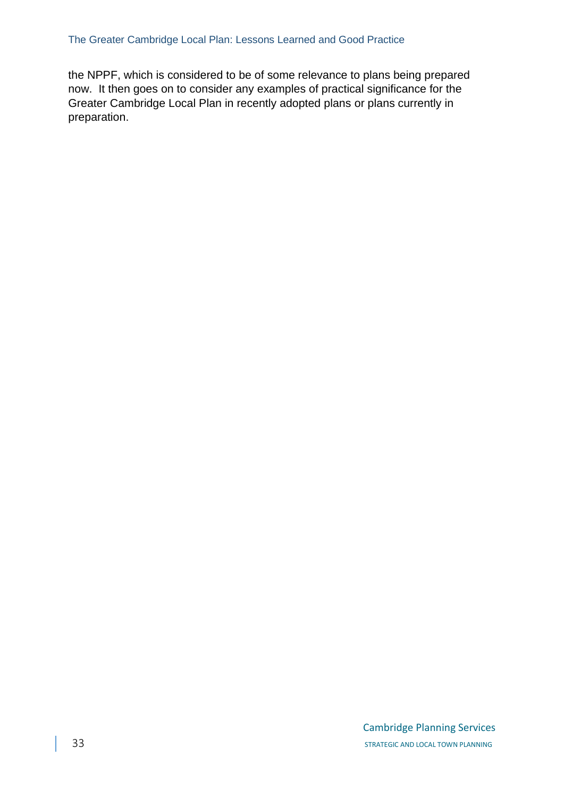the NPPF, which is considered to be of some relevance to plans being prepared now. It then goes on to consider any examples of practical significance for the Greater Cambridge Local Plan in recently adopted plans or plans currently in preparation.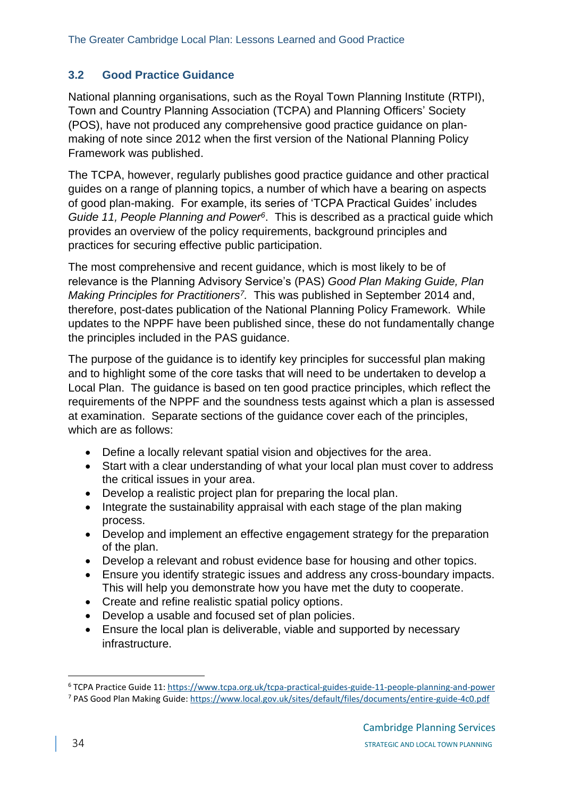# **3.2 Good Practice Guidance**

National planning organisations, such as the Royal Town Planning Institute (RTPI), Town and Country Planning Association (TCPA) and Planning Officers' Society (POS), have not produced any comprehensive good practice guidance on planmaking of note since 2012 when the first version of the National Planning Policy Framework was published.

The TCPA, however, regularly publishes good practice guidance and other practical guides on a range of planning topics, a number of which have a bearing on aspects of good plan-making. For example, its series of 'TCPA Practical Guides' includes *Guide 11, People Planning and Power<sup>6</sup>* . This is described as a practical guide which provides an overview of the policy requirements, background principles and practices for securing effective public participation.

The most comprehensive and recent guidance, which is most likely to be of relevance is the Planning Advisory Service's (PAS) *Good Plan Making Guide, Plan Making Principles for Practitioners<sup>7</sup> .* This was published in September 2014 and, therefore, post-dates publication of the National Planning Policy Framework. While updates to the NPPF have been published since, these do not fundamentally change the principles included in the PAS guidance.

The purpose of the guidance is to identify key principles for successful plan making and to highlight some of the core tasks that will need to be undertaken to develop a Local Plan. The guidance is based on ten good practice principles, which reflect the requirements of the NPPF and the soundness tests against which a plan is assessed at examination. Separate sections of the guidance cover each of the principles, which are as follows:

- Define a locally relevant spatial vision and objectives for the area.
- Start with a clear understanding of what your local plan must cover to address the critical issues in your area.
- Develop a realistic project plan for preparing the local plan.
- Integrate the sustainability appraisal with each stage of the plan making process.
- Develop and implement an effective engagement strategy for the preparation of the plan.
- Develop a relevant and robust evidence base for housing and other topics.
- Ensure you identify strategic issues and address any cross-boundary impacts. This will help you demonstrate how you have met the duty to cooperate.
- Create and refine realistic spatial policy options.
- Develop a usable and focused set of plan policies.
- Ensure the local plan is deliverable, viable and supported by necessary infrastructure.

<sup>6</sup> TCPA Practice Guide 11:<https://www.tcpa.org.uk/tcpa-practical-guides-guide-11-people-planning-and-power>

<sup>7</sup> PAS Good Plan Making Guide:<https://www.local.gov.uk/sites/default/files/documents/entire-guide-4c0.pdf>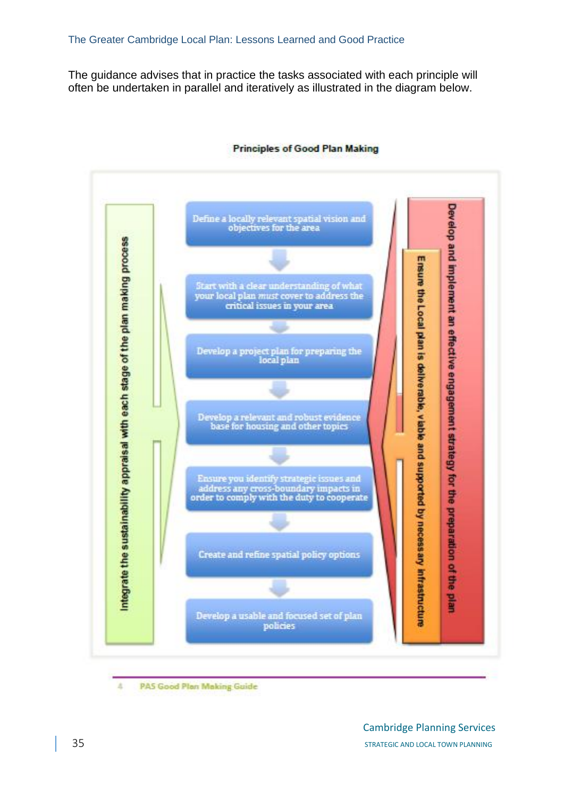The guidance advises that in practice the tasks associated with each principle will often be undertaken in parallel and iteratively as illustrated in the diagram below.



#### **Principles of Good Plan Making**

k **PAS Good Plan Making Guide**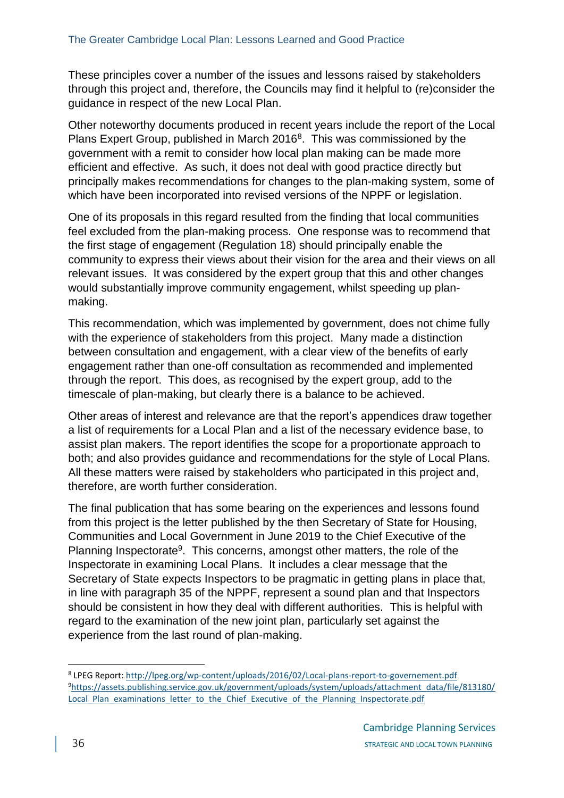These principles cover a number of the issues and lessons raised by stakeholders through this project and, therefore, the Councils may find it helpful to (re)consider the guidance in respect of the new Local Plan.

Other noteworthy documents produced in recent years include the report of the Local Plans Expert Group, published in March 2016<sup>8</sup>. This was commissioned by the government with a remit to consider how local plan making can be made more efficient and effective. As such, it does not deal with good practice directly but principally makes recommendations for changes to the plan-making system, some of which have been incorporated into revised versions of the NPPF or legislation.

One of its proposals in this regard resulted from the finding that local communities feel excluded from the plan-making process. One response was to recommend that the first stage of engagement (Regulation 18) should principally enable the community to express their views about their vision for the area and their views on all relevant issues. It was considered by the expert group that this and other changes would substantially improve community engagement, whilst speeding up planmaking.

This recommendation, which was implemented by government, does not chime fully with the experience of stakeholders from this project. Many made a distinction between consultation and engagement, with a clear view of the benefits of early engagement rather than one-off consultation as recommended and implemented through the report. This does, as recognised by the expert group, add to the timescale of plan-making, but clearly there is a balance to be achieved.

Other areas of interest and relevance are that the report's appendices draw together a list of requirements for a Local Plan and a list of the necessary evidence base, to assist plan makers. The report identifies the scope for a proportionate approach to both; and also provides guidance and recommendations for the style of Local Plans. All these matters were raised by stakeholders who participated in this project and, therefore, are worth further consideration.

The final publication that has some bearing on the experiences and lessons found from this project is the letter published by the then Secretary of State for Housing, Communities and Local Government in June 2019 to the Chief Executive of the Planning Inspectorate<sup>9</sup>. This concerns, amongst other matters, the role of the Inspectorate in examining Local Plans. It includes a clear message that the Secretary of State expects Inspectors to be pragmatic in getting plans in place that, in line with paragraph 35 of the NPPF, represent a sound plan and that Inspectors should be consistent in how they deal with different authorities. This is helpful with regard to the examination of the new joint plan, particularly set against the experience from the last round of plan-making.

<sup>8</sup> LPEG Report:<http://lpeg.org/wp-content/uploads/2016/02/Local-plans-report-to-governement.pdf> <sup>9</sup>[https://assets.publishing.service.gov.uk/government/uploads/system/uploads/attachment\\_data/file/813180/](https://assets.publishing.service.gov.uk/government/uploads/system/uploads/attachment_data/file/813180/Local_Plan_examinations_letter_to_the_Chief_Executive_of_the_Planning_Inspectorate.pdf) Local Plan\_examinations\_letter\_to\_the\_Chief\_Executive\_of\_the\_Planning\_Inspectorate.pdf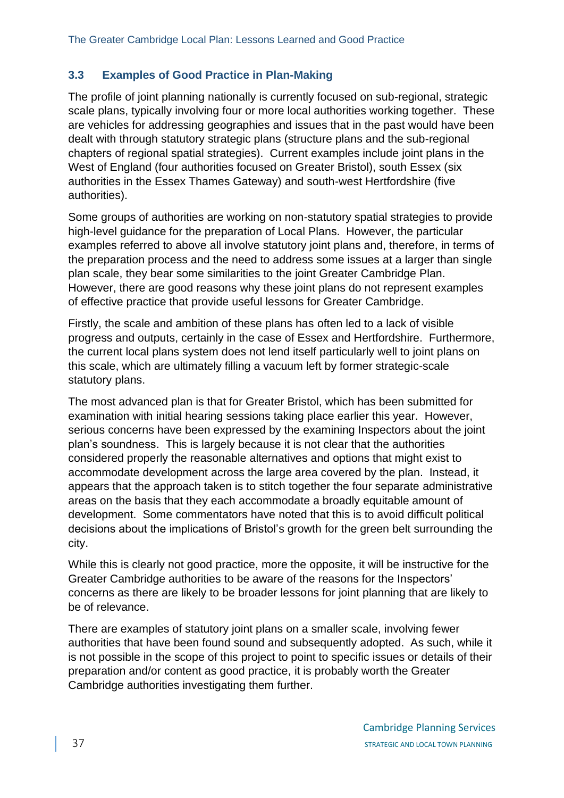# **3.3 Examples of Good Practice in Plan-Making**

The profile of joint planning nationally is currently focused on sub-regional, strategic scale plans, typically involving four or more local authorities working together. These are vehicles for addressing geographies and issues that in the past would have been dealt with through statutory strategic plans (structure plans and the sub-regional chapters of regional spatial strategies). Current examples include joint plans in the West of England (four authorities focused on Greater Bristol), south Essex (six authorities in the Essex Thames Gateway) and south-west Hertfordshire (five authorities).

Some groups of authorities are working on non-statutory spatial strategies to provide high-level guidance for the preparation of Local Plans. However, the particular examples referred to above all involve statutory joint plans and, therefore, in terms of the preparation process and the need to address some issues at a larger than single plan scale, they bear some similarities to the joint Greater Cambridge Plan. However, there are good reasons why these joint plans do not represent examples of effective practice that provide useful lessons for Greater Cambridge.

Firstly, the scale and ambition of these plans has often led to a lack of visible progress and outputs, certainly in the case of Essex and Hertfordshire. Furthermore, the current local plans system does not lend itself particularly well to joint plans on this scale, which are ultimately filling a vacuum left by former strategic-scale statutory plans.

The most advanced plan is that for Greater Bristol, which has been submitted for examination with initial hearing sessions taking place earlier this year. However, serious concerns have been expressed by the examining Inspectors about the joint plan's soundness. This is largely because it is not clear that the authorities considered properly the reasonable alternatives and options that might exist to accommodate development across the large area covered by the plan. Instead, it appears that the approach taken is to stitch together the four separate administrative areas on the basis that they each accommodate a broadly equitable amount of development. Some commentators have noted that this is to avoid difficult political decisions about the implications of Bristol's growth for the green belt surrounding the city.

While this is clearly not good practice, more the opposite, it will be instructive for the Greater Cambridge authorities to be aware of the reasons for the Inspectors' concerns as there are likely to be broader lessons for joint planning that are likely to be of relevance.

There are examples of statutory joint plans on a smaller scale, involving fewer authorities that have been found sound and subsequently adopted. As such, while it is not possible in the scope of this project to point to specific issues or details of their preparation and/or content as good practice, it is probably worth the Greater Cambridge authorities investigating them further.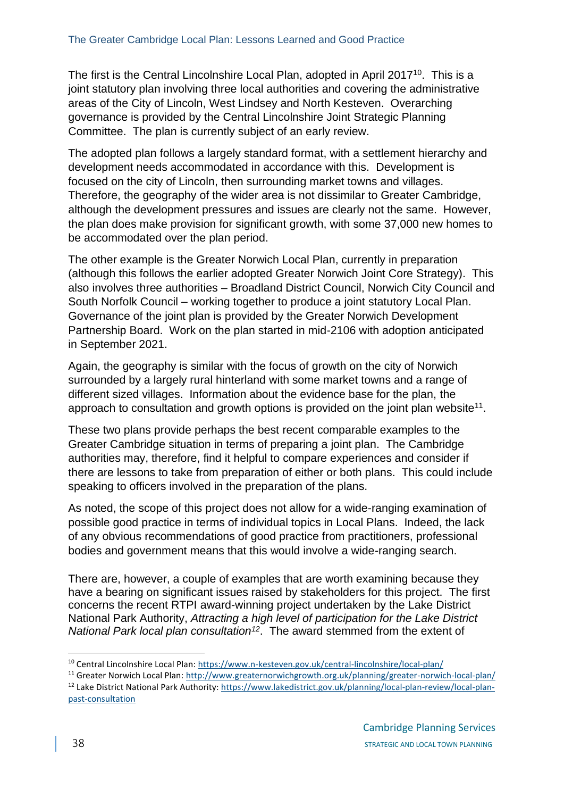The first is the Central Lincolnshire Local Plan, adopted in April 2017<sup>10</sup>. This is a joint statutory plan involving three local authorities and covering the administrative areas of the City of Lincoln, West Lindsey and North Kesteven. Overarching governance is provided by the Central Lincolnshire Joint Strategic Planning Committee. The plan is currently subject of an early review.

The adopted plan follows a largely standard format, with a settlement hierarchy and development needs accommodated in accordance with this. Development is focused on the city of Lincoln, then surrounding market towns and villages. Therefore, the geography of the wider area is not dissimilar to Greater Cambridge, although the development pressures and issues are clearly not the same. However, the plan does make provision for significant growth, with some 37,000 new homes to be accommodated over the plan period.

The other example is the Greater Norwich Local Plan, currently in preparation (although this follows the earlier adopted Greater Norwich Joint Core Strategy). This also involves three authorities – Broadland District Council, Norwich City Council and South Norfolk Council – working together to produce a joint statutory Local Plan. Governance of the joint plan is provided by the Greater Norwich Development Partnership Board. Work on the plan started in mid-2106 with adoption anticipated in September 2021.

Again, the geography is similar with the focus of growth on the city of Norwich surrounded by a largely rural hinterland with some market towns and a range of different sized villages. Information about the evidence base for the plan, the approach to consultation and growth options is provided on the joint plan website<sup>11</sup>.

These two plans provide perhaps the best recent comparable examples to the Greater Cambridge situation in terms of preparing a joint plan. The Cambridge authorities may, therefore, find it helpful to compare experiences and consider if there are lessons to take from preparation of either or both plans. This could include speaking to officers involved in the preparation of the plans.

As noted, the scope of this project does not allow for a wide-ranging examination of possible good practice in terms of individual topics in Local Plans. Indeed, the lack of any obvious recommendations of good practice from practitioners, professional bodies and government means that this would involve a wide-ranging search.

There are, however, a couple of examples that are worth examining because they have a bearing on significant issues raised by stakeholders for this project. The first concerns the recent RTPI award-winning project undertaken by the Lake District National Park Authority, *Attracting a high level of participation for the Lake District National Park local plan consultation<sup>12</sup>* . The award stemmed from the extent of

<sup>10</sup> Central Lincolnshire Local Plan:<https://www.n-kesteven.gov.uk/central-lincolnshire/local-plan/>

<sup>&</sup>lt;sup>11</sup> Greater Norwich Local Plan:<http://www.greaternorwichgrowth.org.uk/planning/greater-norwich-local-plan/> <sup>12</sup> Lake District National Park Authority[: https://www.lakedistrict.gov.uk/planning/local-plan-review/local-plan](https://www.lakedistrict.gov.uk/planning/local-plan-review/local-plan-past-consultation)[past-consultation](https://www.lakedistrict.gov.uk/planning/local-plan-review/local-plan-past-consultation)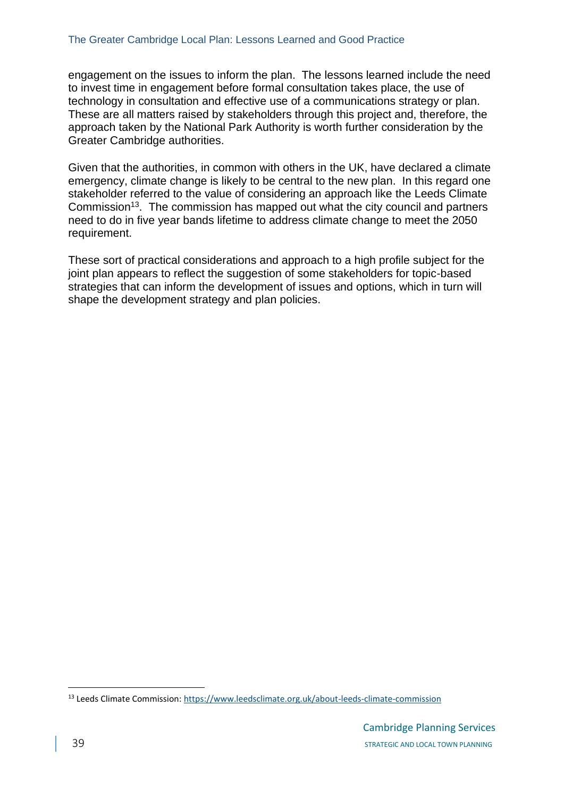engagement on the issues to inform the plan. The lessons learned include the need to invest time in engagement before formal consultation takes place, the use of technology in consultation and effective use of a communications strategy or plan. These are all matters raised by stakeholders through this project and, therefore, the approach taken by the National Park Authority is worth further consideration by the Greater Cambridge authorities.

Given that the authorities, in common with others in the UK, have declared a climate emergency, climate change is likely to be central to the new plan. In this regard one stakeholder referred to the value of considering an approach like the Leeds Climate Commission<sup>13</sup>. The commission has mapped out what the city council and partners need to do in five year bands lifetime to address climate change to meet the 2050 requirement.

These sort of practical considerations and approach to a high profile subject for the joint plan appears to reflect the suggestion of some stakeholders for topic-based strategies that can inform the development of issues and options, which in turn will shape the development strategy and plan policies.

<sup>&</sup>lt;sup>13</sup> Leeds Climate Commission:<https://www.leedsclimate.org.uk/about-leeds-climate-commission>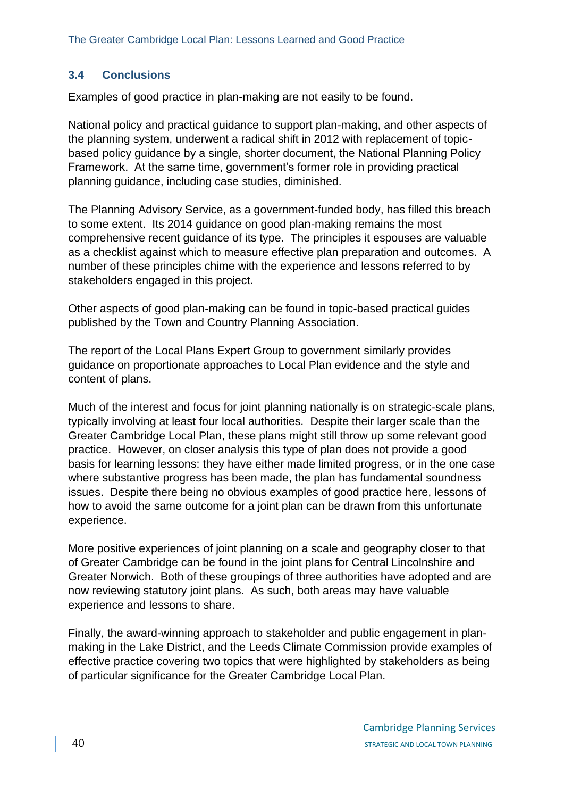# **3.4 Conclusions**

Examples of good practice in plan-making are not easily to be found.

National policy and practical guidance to support plan-making, and other aspects of the planning system, underwent a radical shift in 2012 with replacement of topicbased policy guidance by a single, shorter document, the National Planning Policy Framework. At the same time, government's former role in providing practical planning guidance, including case studies, diminished.

The Planning Advisory Service, as a government-funded body, has filled this breach to some extent. Its 2014 guidance on good plan-making remains the most comprehensive recent guidance of its type. The principles it espouses are valuable as a checklist against which to measure effective plan preparation and outcomes. A number of these principles chime with the experience and lessons referred to by stakeholders engaged in this project.

Other aspects of good plan-making can be found in topic-based practical guides published by the Town and Country Planning Association.

The report of the Local Plans Expert Group to government similarly provides guidance on proportionate approaches to Local Plan evidence and the style and content of plans.

Much of the interest and focus for joint planning nationally is on strategic-scale plans, typically involving at least four local authorities. Despite their larger scale than the Greater Cambridge Local Plan, these plans might still throw up some relevant good practice. However, on closer analysis this type of plan does not provide a good basis for learning lessons: they have either made limited progress, or in the one case where substantive progress has been made, the plan has fundamental soundness issues. Despite there being no obvious examples of good practice here, lessons of how to avoid the same outcome for a joint plan can be drawn from this unfortunate experience.

More positive experiences of joint planning on a scale and geography closer to that of Greater Cambridge can be found in the joint plans for Central Lincolnshire and Greater Norwich. Both of these groupings of three authorities have adopted and are now reviewing statutory joint plans. As such, both areas may have valuable experience and lessons to share.

Finally, the award-winning approach to stakeholder and public engagement in planmaking in the Lake District, and the Leeds Climate Commission provide examples of effective practice covering two topics that were highlighted by stakeholders as being of particular significance for the Greater Cambridge Local Plan.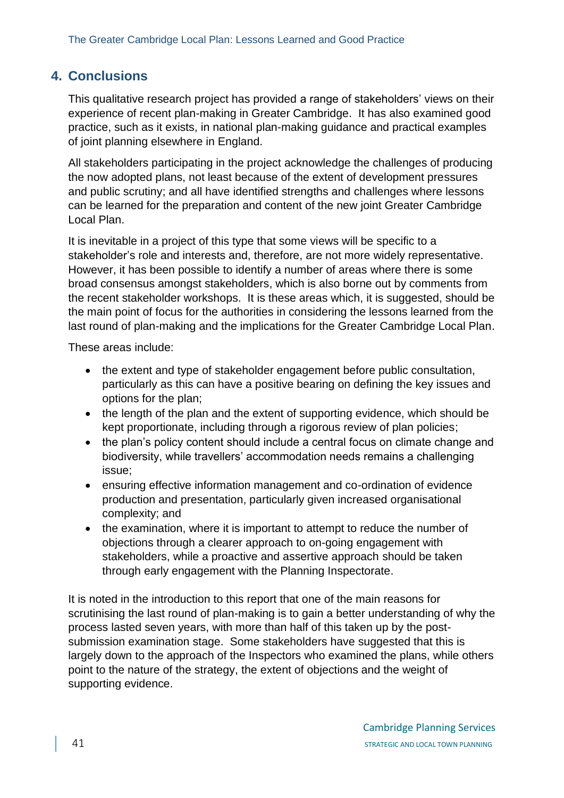# <span id="page-40-0"></span>**4. Conclusions**

This qualitative research project has provided a range of stakeholders' views on their experience of recent plan-making in Greater Cambridge. It has also examined good practice, such as it exists, in national plan-making guidance and practical examples of joint planning elsewhere in England.

All stakeholders participating in the project acknowledge the challenges of producing the now adopted plans, not least because of the extent of development pressures and public scrutiny; and all have identified strengths and challenges where lessons can be learned for the preparation and content of the new joint Greater Cambridge Local Plan.

It is inevitable in a project of this type that some views will be specific to a stakeholder's role and interests and, therefore, are not more widely representative. However, it has been possible to identify a number of areas where there is some broad consensus amongst stakeholders, which is also borne out by comments from the recent stakeholder workshops. It is these areas which, it is suggested, should be the main point of focus for the authorities in considering the lessons learned from the last round of plan-making and the implications for the Greater Cambridge Local Plan.

These areas include:

- the extent and type of stakeholder engagement before public consultation, particularly as this can have a positive bearing on defining the key issues and options for the plan;
- the length of the plan and the extent of supporting evidence, which should be kept proportionate, including through a rigorous review of plan policies;
- the plan's policy content should include a central focus on climate change and biodiversity, while travellers' accommodation needs remains a challenging issue;
- ensuring effective information management and co-ordination of evidence production and presentation, particularly given increased organisational complexity; and
- the examination, where it is important to attempt to reduce the number of objections through a clearer approach to on-going engagement with stakeholders, while a proactive and assertive approach should be taken through early engagement with the Planning Inspectorate.

It is noted in the introduction to this report that one of the main reasons for scrutinising the last round of plan-making is to gain a better understanding of why the process lasted seven years, with more than half of this taken up by the postsubmission examination stage. Some stakeholders have suggested that this is largely down to the approach of the Inspectors who examined the plans, while others point to the nature of the strategy, the extent of objections and the weight of supporting evidence.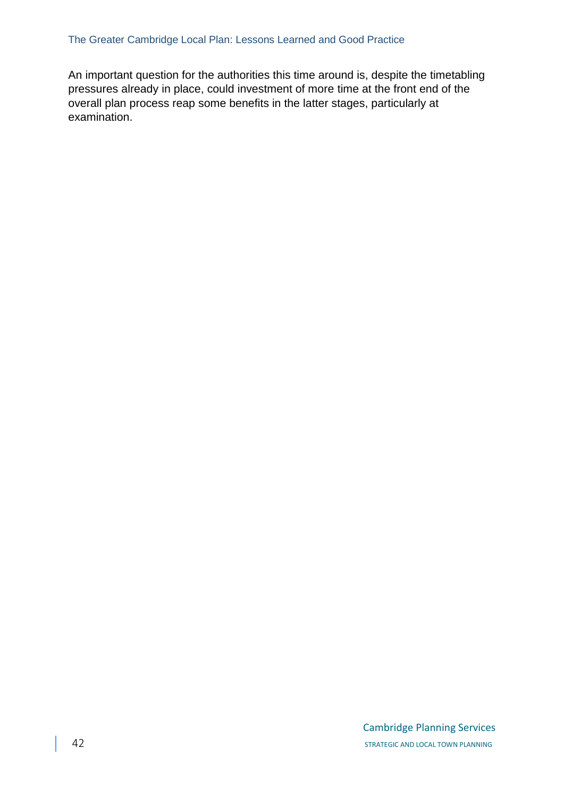An important question for the authorities this time around is, despite the timetabling pressures already in place, could investment of more time at the front end of the overall plan process reap some benefits in the latter stages, particularly at examination.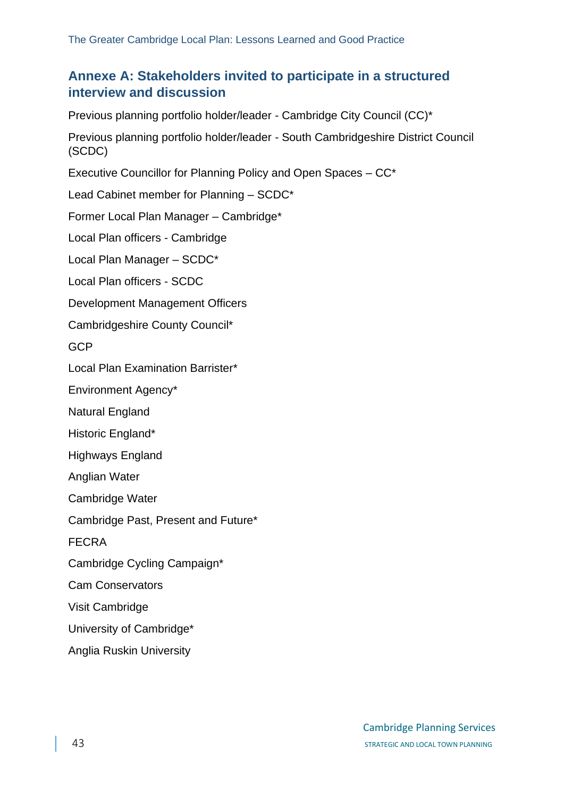# <span id="page-42-0"></span>**Annexe A: Stakeholders invited to participate in a structured interview and discussion**

Previous planning portfolio holder/leader - Cambridge City Council (CC)\*

Previous planning portfolio holder/leader - South Cambridgeshire District Council (SCDC)

Executive Councillor for Planning Policy and Open Spaces – CC\*

Lead Cabinet member for Planning – SCDC\*

Former Local Plan Manager – Cambridge\*

Local Plan officers - Cambridge

Local Plan Manager – SCDC\*

Local Plan officers - SCDC

Development Management Officers

Cambridgeshire County Council\*

GCP

Local Plan Examination Barrister\*

Environment Agency\*

Natural England

Historic England\*

Highways England

Anglian Water

Cambridge Water

Cambridge Past, Present and Future\*

FECRA

Cambridge Cycling Campaign\*

Cam Conservators

Visit Cambridge

University of Cambridge\*

Anglia Ruskin University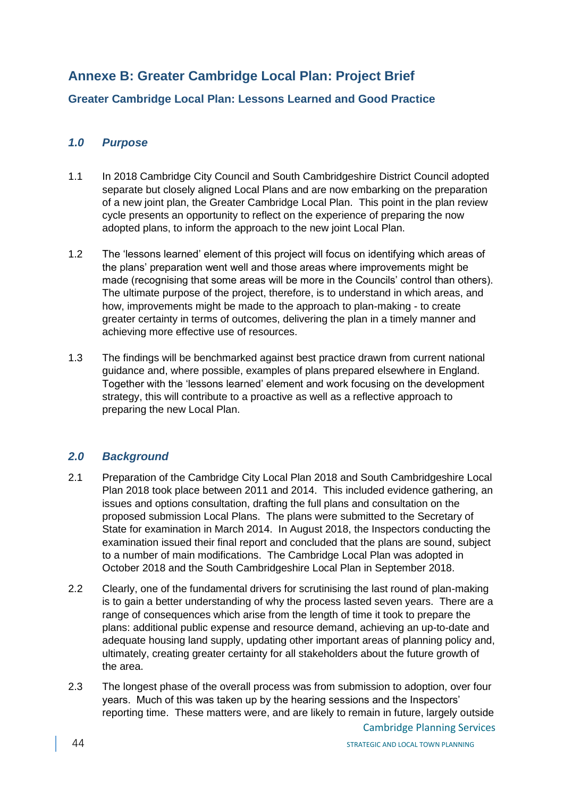# <span id="page-43-0"></span>**Annexe B: Greater Cambridge Local Plan: Project Brief**

#### **Greater Cambridge Local Plan: Lessons Learned and Good Practice**

#### *1.0 Purpose*

- 1.1 In 2018 Cambridge City Council and South Cambridgeshire District Council adopted separate but closely aligned Local Plans and are now embarking on the preparation of a new joint plan, the Greater Cambridge Local Plan. This point in the plan review cycle presents an opportunity to reflect on the experience of preparing the now adopted plans, to inform the approach to the new joint Local Plan.
- 1.2 The 'lessons learned' element of this project will focus on identifying which areas of the plans' preparation went well and those areas where improvements might be made (recognising that some areas will be more in the Councils' control than others). The ultimate purpose of the project, therefore, is to understand in which areas, and how, improvements might be made to the approach to plan-making - to create greater certainty in terms of outcomes, delivering the plan in a timely manner and achieving more effective use of resources.
- 1.3 The findings will be benchmarked against best practice drawn from current national guidance and, where possible, examples of plans prepared elsewhere in England. Together with the 'lessons learned' element and work focusing on the development strategy, this will contribute to a proactive as well as a reflective approach to preparing the new Local Plan.

#### *2.0 Background*

- 2.1 Preparation of the Cambridge City Local Plan 2018 and South Cambridgeshire Local Plan 2018 took place between 2011 and 2014. This included evidence gathering, an issues and options consultation, drafting the full plans and consultation on the proposed submission Local Plans. The plans were submitted to the Secretary of State for examination in March 2014. In August 2018, the Inspectors conducting the examination issued their final report and concluded that the plans are sound, subject to a number of main modifications. The Cambridge Local Plan was adopted in October 2018 and the South Cambridgeshire Local Plan in September 2018.
- 2.2 Clearly, one of the fundamental drivers for scrutinising the last round of plan-making is to gain a better understanding of why the process lasted seven years. There are a range of consequences which arise from the length of time it took to prepare the plans: additional public expense and resource demand, achieving an up-to-date and adequate housing land supply, updating other important areas of planning policy and, ultimately, creating greater certainty for all stakeholders about the future growth of the area.
- 2.3 The longest phase of the overall process was from submission to adoption, over four years. Much of this was taken up by the hearing sessions and the Inspectors' reporting time. These matters were, and are likely to remain in future, largely outside

Cambridge Planning Services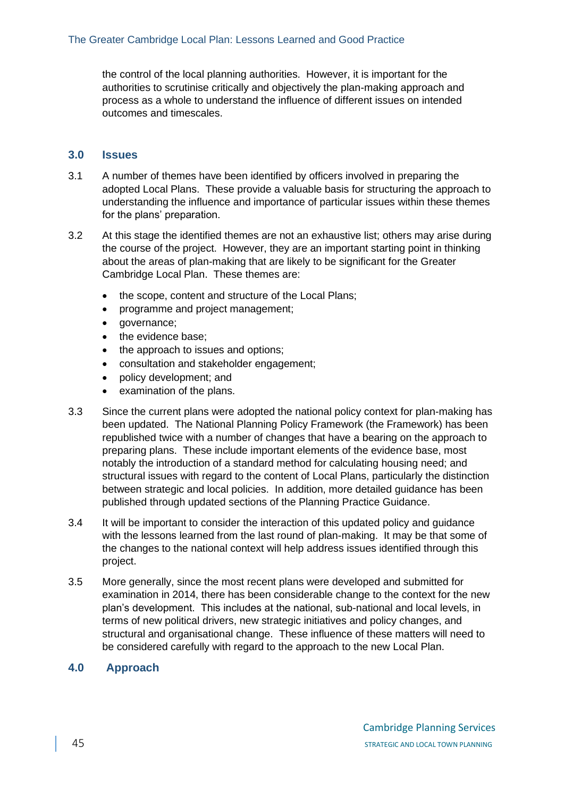the control of the local planning authorities. However, it is important for the authorities to scrutinise critically and objectively the plan-making approach and process as a whole to understand the influence of different issues on intended outcomes and timescales.

#### **3.0 Issues**

- 3.1 A number of themes have been identified by officers involved in preparing the adopted Local Plans. These provide a valuable basis for structuring the approach to understanding the influence and importance of particular issues within these themes for the plans' preparation.
- 3.2 At this stage the identified themes are not an exhaustive list; others may arise during the course of the project. However, they are an important starting point in thinking about the areas of plan-making that are likely to be significant for the Greater Cambridge Local Plan. These themes are:
	- the scope, content and structure of the Local Plans;
	- programme and project management;
	- governance:
	- the evidence base;
	- the approach to issues and options;
	- consultation and stakeholder engagement;
	- policy development; and
	- examination of the plans.
- 3.3 Since the current plans were adopted the national policy context for plan-making has been updated. The National Planning Policy Framework (the Framework) has been republished twice with a number of changes that have a bearing on the approach to preparing plans. These include important elements of the evidence base, most notably the introduction of a standard method for calculating housing need; and structural issues with regard to the content of Local Plans, particularly the distinction between strategic and local policies. In addition, more detailed guidance has been published through updated sections of the Planning Practice Guidance.
- 3.4 It will be important to consider the interaction of this updated policy and guidance with the lessons learned from the last round of plan-making. It may be that some of the changes to the national context will help address issues identified through this project.
- 3.5 More generally, since the most recent plans were developed and submitted for examination in 2014, there has been considerable change to the context for the new plan's development. This includes at the national, sub-national and local levels, in terms of new political drivers, new strategic initiatives and policy changes, and structural and organisational change. These influence of these matters will need to be considered carefully with regard to the approach to the new Local Plan.

#### **4.0 Approach**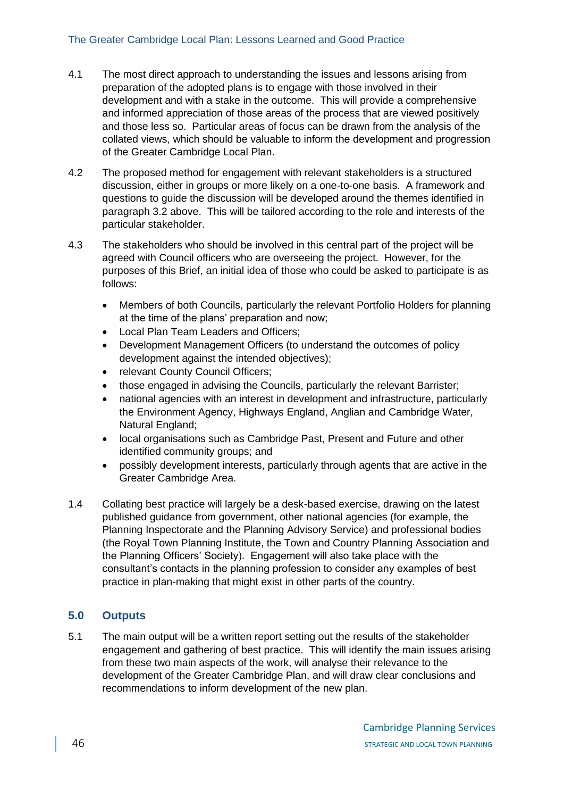- 4.1 The most direct approach to understanding the issues and lessons arising from preparation of the adopted plans is to engage with those involved in their development and with a stake in the outcome. This will provide a comprehensive and informed appreciation of those areas of the process that are viewed positively and those less so. Particular areas of focus can be drawn from the analysis of the collated views, which should be valuable to inform the development and progression of the Greater Cambridge Local Plan.
- 4.2 The proposed method for engagement with relevant stakeholders is a structured discussion, either in groups or more likely on a one-to-one basis. A framework and questions to guide the discussion will be developed around the themes identified in paragraph 3.2 above. This will be tailored according to the role and interests of the particular stakeholder.
- 4.3 The stakeholders who should be involved in this central part of the project will be agreed with Council officers who are overseeing the project. However, for the purposes of this Brief, an initial idea of those who could be asked to participate is as follows:
	- Members of both Councils, particularly the relevant Portfolio Holders for planning at the time of the plans' preparation and now;
	- Local Plan Team Leaders and Officers;
	- Development Management Officers (to understand the outcomes of policy development against the intended objectives);
	- relevant County Council Officers:
	- those engaged in advising the Councils, particularly the relevant Barrister;
	- national agencies with an interest in development and infrastructure, particularly the Environment Agency, Highways England, Anglian and Cambridge Water, Natural England;
	- local organisations such as Cambridge Past, Present and Future and other identified community groups; and
	- possibly development interests, particularly through agents that are active in the Greater Cambridge Area.
- 1.4 Collating best practice will largely be a desk-based exercise, drawing on the latest published guidance from government, other national agencies (for example, the Planning Inspectorate and the Planning Advisory Service) and professional bodies (the Royal Town Planning Institute, the Town and Country Planning Association and the Planning Officers' Society). Engagement will also take place with the consultant's contacts in the planning profession to consider any examples of best practice in plan-making that might exist in other parts of the country.

#### **5.0 Outputs**

5.1 The main output will be a written report setting out the results of the stakeholder engagement and gathering of best practice. This will identify the main issues arising from these two main aspects of the work, will analyse their relevance to the development of the Greater Cambridge Plan, and will draw clear conclusions and recommendations to inform development of the new plan.